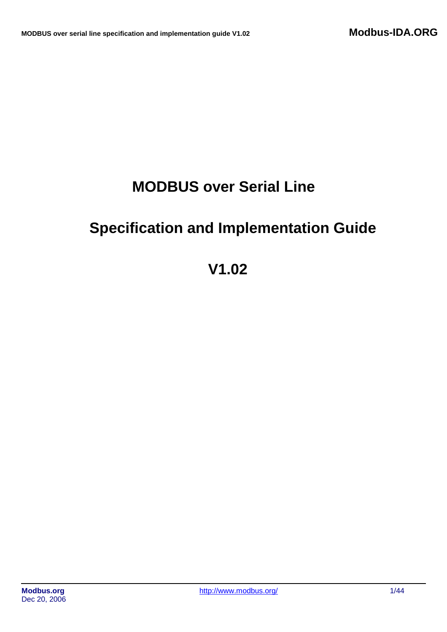# **MODBUS over Serial Line**

# **Specification and Implementation Guide**

# **V1.02**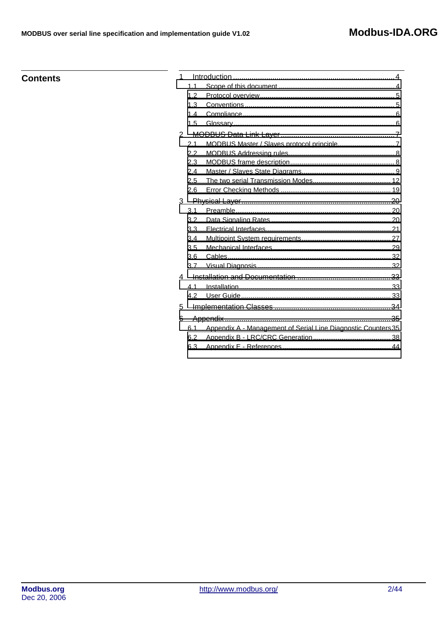# **Contents**

| 1 |     |                                                               |
|---|-----|---------------------------------------------------------------|
|   | 1.1 |                                                               |
|   | 1.2 |                                                               |
|   | 1.3 |                                                               |
|   | 1.4 |                                                               |
|   | 1.5 |                                                               |
| 2 |     |                                                               |
|   | 2.1 |                                                               |
|   | 2.2 |                                                               |
|   | 2.3 |                                                               |
|   | 2.4 |                                                               |
|   | 2.5 |                                                               |
|   | 2.6 |                                                               |
| 3 |     |                                                               |
|   | 3.1 |                                                               |
|   | 3.2 |                                                               |
|   | 3.3 |                                                               |
|   | 3.4 |                                                               |
|   | 3.5 |                                                               |
|   | 3.6 |                                                               |
|   | 3.7 |                                                               |
| 4 |     |                                                               |
|   | 4.1 |                                                               |
|   | 4.2 |                                                               |
| 5 |     |                                                               |
| 6 |     |                                                               |
|   | 6.1 | Appendix A - Management of Serial Line Diagnostic Counters 35 |
|   | 6.2 |                                                               |
|   | 6.3 |                                                               |
|   |     |                                                               |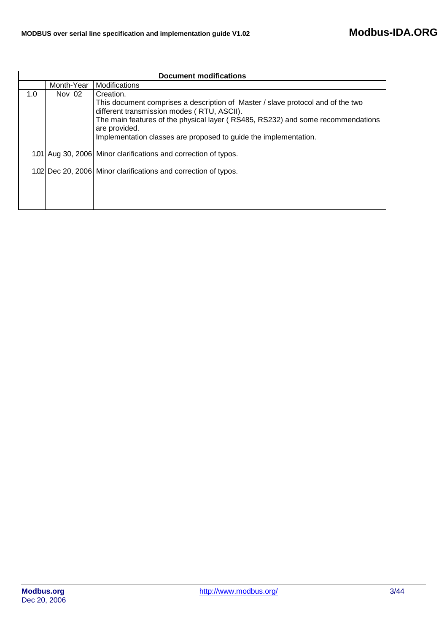| <b>Document modifications</b> |            |                                                                                                                                                                                                                                                                                                                    |  |  |  |  |  |  |  |  |
|-------------------------------|------------|--------------------------------------------------------------------------------------------------------------------------------------------------------------------------------------------------------------------------------------------------------------------------------------------------------------------|--|--|--|--|--|--|--|--|
|                               | Month-Year | Modifications                                                                                                                                                                                                                                                                                                      |  |  |  |  |  |  |  |  |
| 1.0                           | Nov 02     | Creation.<br>This document comprises a description of Master / slave protocol and of the two<br>different transmission modes (RTU, ASCII).<br>The main features of the physical layer (RS485, RS232) and some recommendations<br>are provided.<br>Implementation classes are proposed to guide the implementation. |  |  |  |  |  |  |  |  |
|                               |            | 1.01 Aug 30, 2006 Minor clarifications and correction of typos.                                                                                                                                                                                                                                                    |  |  |  |  |  |  |  |  |
|                               |            | 1.02 Dec 20, 2006 Minor clarifications and correction of typos.                                                                                                                                                                                                                                                    |  |  |  |  |  |  |  |  |
|                               |            |                                                                                                                                                                                                                                                                                                                    |  |  |  |  |  |  |  |  |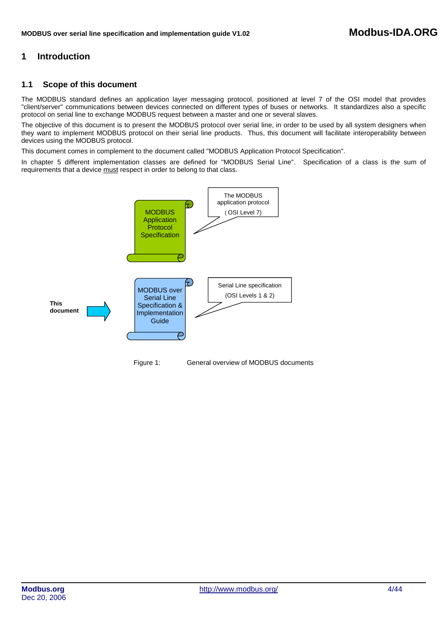# <span id="page-3-0"></span>**1 Introduction**

# **1.1 Scope of this document**

The MODBUS standard defines an application layer messaging protocol, positioned at level 7 of the OSI model that provides "client/server" communications between devices connected on different types of buses or networks. It standardizes also a specific protocol on serial line to exchange MODBUS request between a master and one or several slaves.

The objective of this document is to present the MODBUS protocol over serial line, in order to be used by all system designers when they want to implement MODBUS protocol on their serial line products. Thus, this document will facilitate interoperability between devices using the MODBUS protocol.

This document comes in complement to the document called "MODBUS Application Protocol Specification".

In chapter 5 different implementation classes are defined for "MODBUS Serial Line". Specification of a class is the sum of requirements that a device must respect in order to belong to that class.

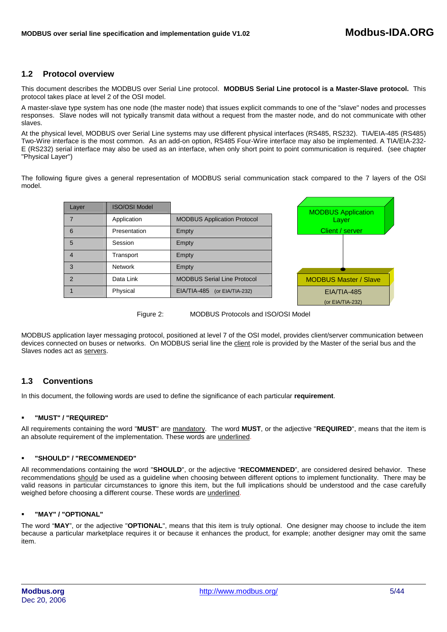# <span id="page-4-0"></span>**1.2 Protocol overview**

This document describes the MODBUS over Serial Line protocol. **MODBUS Serial Line protocol is a Master-Slave protocol.** This protocol takes place at level 2 of the OSI model.

A master-slave type system has one node (the master node) that issues explicit commands to one of the "slave" nodes and processes responses. Slave nodes will not typically transmit data without a request from the master node, and do not communicate with other slaves.

At the physical level, MODBUS over Serial Line systems may use different physical interfaces (RS485, RS232). TIA/EIA-485 (RS485) Two-Wire interface is the most common. As an add-on option, RS485 Four-Wire interface may also be implemented. A TIA/EIA-232- E (RS232) serial interface may also be used as an interface, when only short point to point communication is required. (see chapter "Physical Layer")

The following figure gives a general representation of MODBUS serial communication stack compared to the 7 layers of the OSI model.

| Layer          | <b>ISO/OSI Model</b> |                                    |             |
|----------------|----------------------|------------------------------------|-------------|
|                |                      |                                    | <b>MOD</b>  |
|                | Application          | <b>MODBUS Application Protocol</b> |             |
| 6              | Presentation         | Empty                              | C           |
| 5              | Session              | Empty                              |             |
| $\overline{4}$ | Transport            | Empty                              |             |
| 3              | <b>Network</b>       | Empty                              |             |
| $\mathcal{P}$  | Data Link            | <b>MODBUS Serial Line Protocol</b> | <b>MODE</b> |
|                | Physical             | EIA/TIA-485 (or EIA/TIA-232)       |             |



Figure 2: MODBUS Protocols and ISO/OSI Model

MODBUS application layer messaging protocol, positioned at level 7 of the OSI model, provides client/server communication between devices connected on buses or networks. On MODBUS serial line the client role is provided by the Master of the serial bus and the Slaves nodes act as servers.

# **1.3 Conventions**

In this document, the following words are used to define the significance of each particular **requirement**.

## **"MUST" / "REQUIRED"**

All requirements containing the word "**MUST**" are mandatory. The word **MUST**, or the adjective "**REQUIRED**", means that the item is an absolute requirement of the implementation. These words are underlined.

## **"SHOULD" / "RECOMMENDED"**

All recommendations containing the word "**SHOULD**", or the adjective "**RECOMMENDED**", are considered desired behavior. These recommendations should be used as a guideline when choosing between different options to implement functionality. There may be valid reasons in particular circumstances to ignore this item, but the full implications should be understood and the case carefully weighed before choosing a different course. These words are underlined.

## **"MAY" / "OPTIONAL"**

The word "**MAY**", or the adjective "**OPTIONAL**", means that this item is truly optional. One designer may choose to include the item because a particular marketplace requires it or because it enhances the product, for example; another designer may omit the same item.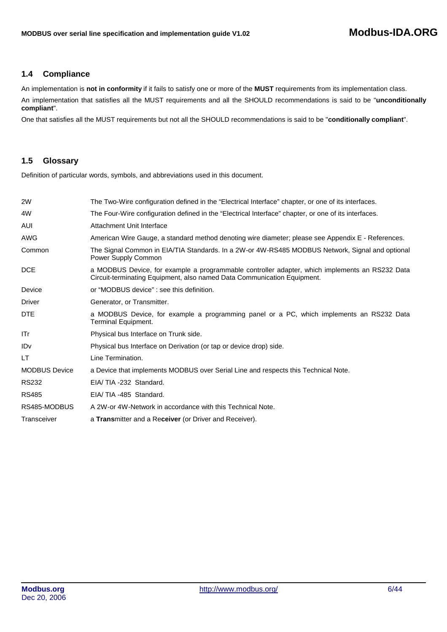# <span id="page-5-0"></span>**1.4 Compliance**

An implementation is **not in conformity** if it fails to satisfy one or more of the **MUST** requirements from its implementation class. An implementation that satisfies all the MUST requirements and all the SHOULD recommendations is said to be "**unconditionally compliant**".

One that satisfies all the MUST requirements but not all the SHOULD recommendations is said to be "**conditionally compliant**".

# **1.5 Glossary**

Definition of particular words, symbols, and abbreviations used in this document.

| 2W                   | The Two-Wire configuration defined in the "Electrical Interface" chapter, or one of its interfaces.                                                                       |
|----------------------|---------------------------------------------------------------------------------------------------------------------------------------------------------------------------|
| 4W                   | The Four-Wire configuration defined in the "Electrical Interface" chapter, or one of its interfaces.                                                                      |
| AUI                  | Attachment Unit Interface                                                                                                                                                 |
| AWG                  | American Wire Gauge, a standard method denoting wire diameter; please see Appendix E - References.                                                                        |
| Common               | The Signal Common in EIA/TIA Standards. In a 2W-or 4W-RS485 MODBUS Network, Signal and optional<br>Power Supply Common                                                    |
| <b>DCE</b>           | a MODBUS Device, for example a programmable controller adapter, which implements an RS232 Data<br>Circuit-terminating Equipment, also named Data Communication Equipment. |
| Device               | or "MODBUS device" : see this definition.                                                                                                                                 |
| Driver               | Generator, or Transmitter.                                                                                                                                                |
| <b>DTE</b>           | a MODBUS Device, for example a programming panel or a PC, which implements an RS232 Data<br>Terminal Equipment.                                                           |
| ITr                  | Physical bus Interface on Trunk side.                                                                                                                                     |
| IDv                  | Physical bus Interface on Derivation (or tap or device drop) side.                                                                                                        |
| LT.                  | Line Termination.                                                                                                                                                         |
| <b>MODBUS Device</b> | a Device that implements MODBUS over Serial Line and respects this Technical Note.                                                                                        |
| <b>RS232</b>         | EIA/TIA-232 Standard.                                                                                                                                                     |
| <b>RS485</b>         | EIA/TIA-485 Standard.                                                                                                                                                     |
| RS485-MODBUS         | A 2W-or 4W-Network in accordance with this Technical Note.                                                                                                                |
| Transceiver          | a Transmitter and a Receiver (or Driver and Receiver).                                                                                                                    |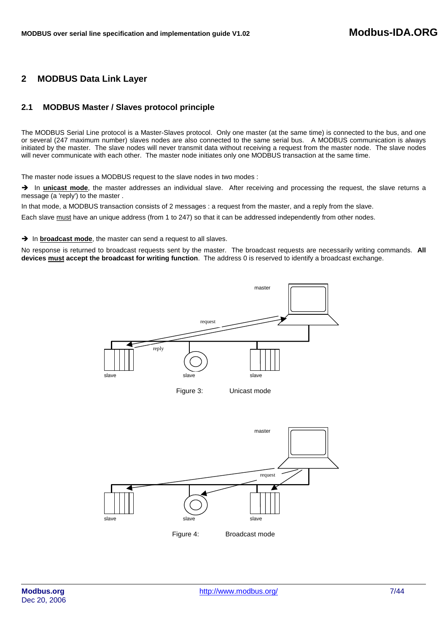# <span id="page-6-0"></span>**2 MODBUS Data Link Layer**

# **2.1 MODBUS Master / Slaves protocol principle**

The MODBUS Serial Line protocol is a Master-Slaves protocol. Only one master (at the same time) is connected to the bus, and one or several (247 maximum number) slaves nodes are also connected to the same serial bus. A MODBUS communication is always initiated by the master. The slave nodes will never transmit data without receiving a request from the master node. The slave nodes will never communicate with each other. The master node initiates only one MODBUS transaction at the same time.

The master node issues a MODBUS request to the slave nodes in two modes :

→ In **unicast mode**, the master addresses an individual slave. After receiving and processing the request, the slave returns a message (a 'reply') to the master.

In that mode, a MODBUS transaction consists of 2 messages : a request from the master, and a reply from the slave.

Each slave must have an unique address (from 1 to 247) so that it can be addressed independently from other nodes.

 $\rightarrow$  In **broadcast mode**, the master can send a request to all slaves.

No response is returned to broadcast requests sent by the master. The broadcast requests are necessarily writing commands. **All devices must accept the broadcast for writing function**. The address 0 is reserved to identify a broadcast exchange.

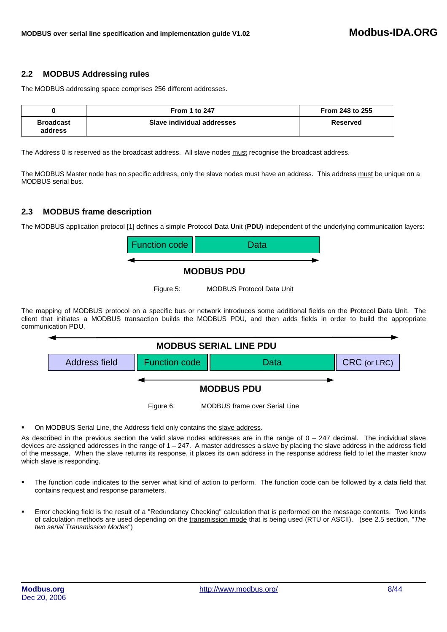# <span id="page-7-0"></span>**2.2 MODBUS Addressing rules**

The MODBUS addressing space comprises 256 different addresses.

|                             | <b>From 1 to 247</b>       | From 248 to 255 |
|-----------------------------|----------------------------|-----------------|
| <b>Broadcast</b><br>address | Slave individual addresses | Reserved        |

The Address 0 is reserved as the broadcast address. All slave nodes must recognise the broadcast address.

The MODBUS Master node has no specific address, only the slave nodes must have an address. This address must be unique on a MODBUS serial bus.

# **2.3 MODBUS frame description**

The MODBUS application protocol [1] defines a simple **P**rotocol **D**ata **U**nit (**PDU**) independent of the underlying communication layers:



# **MODBUS PDU**

Figure 5: MODBUS Protocol Data Unit

The mapping of MODBUS protocol on a specific bus or network introduces some additional fields on the **P**rotocol **D**ata **U**nit. The client that initiates a MODBUS transaction builds the MODBUS PDU, and then adds fields in order to build the appropriate communication PDU.



On MODBUS Serial Line, the Address field only contains the slave address.

As described in the previous section the valid slave nodes addresses are in the range of  $0 - 247$  decimal. The individual slave devices are assigned addresses in the range of  $1 - 247$ . A master addresses a slave by placing the slave address in the address field of the message. When the slave returns its response, it places its own address in the response address field to let the master know which slave is responding.

- The function code indicates to the server what kind of action to perform. The function code can be followed by a data field that contains request and response parameters.
- Error checking field is the result of a "Redundancy Checking" calculation that is performed on the message contents. Two kinds of calculation methods are used depending on the transmission mode that is being used (RTU or ASCII). (see 2.5 section, "*The two serial Transmission Modes*")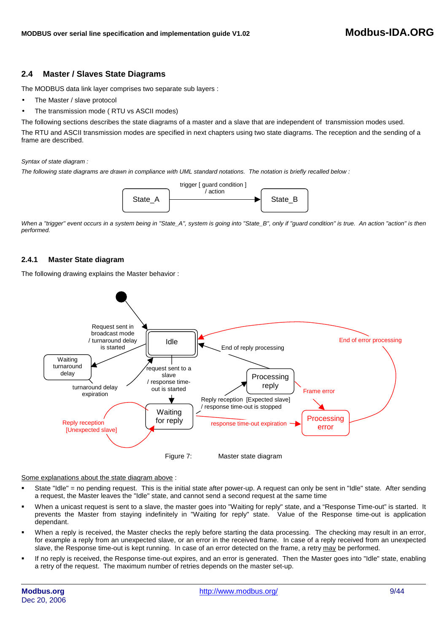# <span id="page-8-0"></span>**2.4 Master / Slaves State Diagrams**

The MODBUS data link layer comprises two separate sub layers :

- The Master / slave protocol
- The transmission mode ( RTU vs ASCII modes)

The following sections describes the state diagrams of a master and a slave that are independent of transmission modes used.

The RTU and ASCII transmission modes are specified in next chapters using two state diagrams. The reception and the sending of a frame are described.

#### *Syntax of state diagram :*

*The following state diagrams are drawn in compliance with UML standard notations. The notation is briefly recalled below :* 



When a "trigger" event occurs in a system being in "State A", system is going into "State B", only if "guard condition" is true. An action "action" is then *performed.* 

## **2.4.1 Master State diagram**

The following drawing explains the Master behavior :



Some explanations about the state diagram above :

- State "Idle" = no pending request. This is the initial state after power-up. A request can only be sent in "Idle" state. After sending a request, the Master leaves the "Idle" state, and cannot send a second request at the same time
- When a unicast request is sent to a slave, the master goes into "Waiting for reply" state, and a "Response Time-out" is started. It prevents the Master from staying indefinitely in "Waiting for reply" state. Value of the Response time-out is application dependant.
- When a reply is received, the Master checks the reply before starting the data processing. The checking may result in an error, for example a reply from an unexpected slave, or an error in the received frame. In case of a reply received from an unexpected slave, the Response time-out is kept running. In case of an error detected on the frame, a retry may be performed.
- If no reply is received, the Response time-out expires, and an error is generated. Then the Master goes into "Idle" state, enabling a retry of the request. The maximum number of retries depends on the master set-up.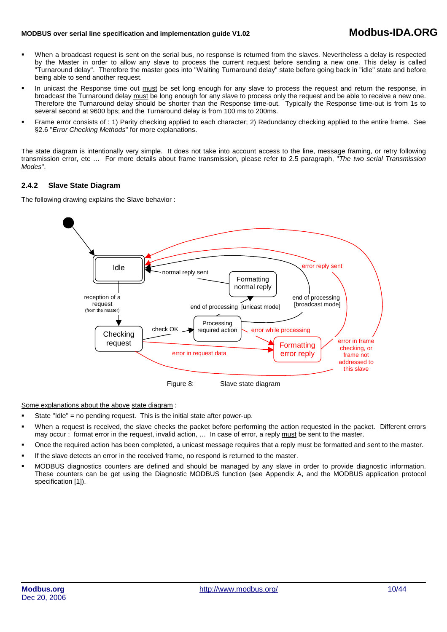# **MODBUS over serial line specification and implementation guide V1.0<sup>2</sup> Modbus-IDA.ORG**

- When a broadcast request is sent on the serial bus, no response is returned from the slaves. Nevertheless a delay is respected by the Master in order to allow any slave to process the current request before sending a new one. This delay is called "Turnaround delay". Therefore the master goes into "Waiting Turnaround delay" state before going back in "idle" state and before being able to send another request.
- In unicast the Response time out must be set long enough for any slave to process the request and return the response, in broadcast the Turnaround delay must be long enough for any slave to process only the request and be able to receive a new one. Therefore the Turnaround delay should be shorter than the Response time-out. Typically the Response time-out is from 1s to several second at 9600 bps; and the Turnaround delay is from 100 ms to 200ms.
- Frame error consists of : 1) Parity checking applied to each character; 2) Redundancy checking applied to the entire frame. See §2.6 "*Error Checking Methods*" for more explanations.

The state diagram is intentionally very simple. It does not take into account access to the line, message framing, or retry following transmission error, etc … For more details about frame transmission, please refer to 2.5 paragraph, "*The two serial Transmission Modes*".

## **2.4.2 Slave State Diagram**

The following drawing explains the Slave behavior :



Some explanations about the above state diagram :

- State "Idle" = no pending request. This is the initial state after power-up.
- When a request is received, the slave checks the packet before performing the action requested in the packet. Different errors may occur : format error in the request, invalid action, … In case of error, a reply must be sent to the master.
- Once the required action has been completed, a unicast message requires that a reply must be formatted and sent to the master.
- If the slave detects an error in the received frame, no respond is returned to the master.
- MODBUS diagnostics counters are defined and should be managed by any slave in order to provide diagnostic information. These counters can be get using the Diagnostic MODBUS function (see Appendix A, and the MODBUS application protocol specification [1]).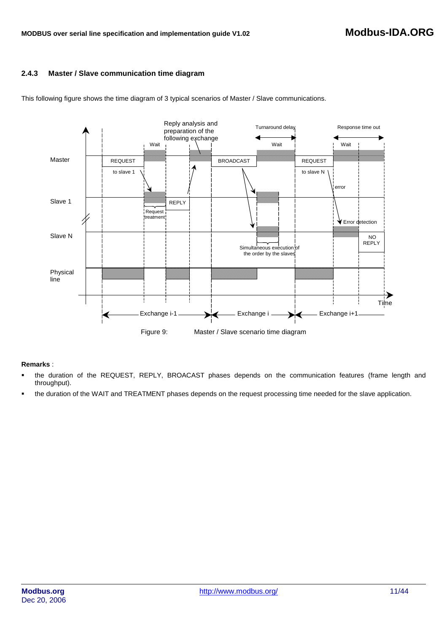# **2.4.3 Master / Slave communication time diagram**



This following figure shows the time diagram of 3 typical scenarios of Master / Slave communications.

# **Remarks** :

- the duration of the REQUEST, REPLY, BROACAST phases depends on the communication features (frame length and throughput).
- the duration of the WAIT and TREATMENT phases depends on the request processing time needed for the slave application.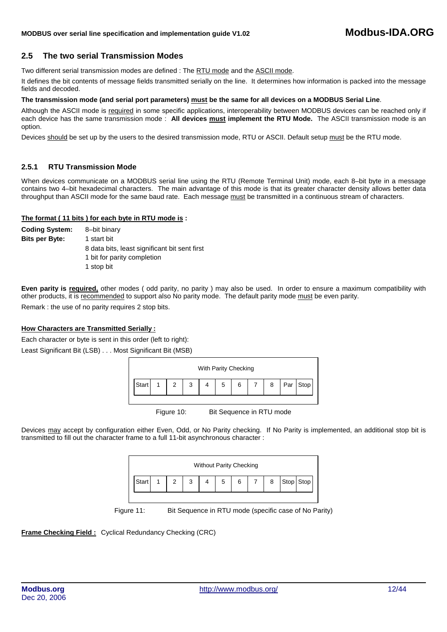# <span id="page-11-0"></span>**2.5 The two serial Transmission Modes**

Two different serial transmission modes are defined : The RTU mode and the ASCII mode.

It defines the bit contents of message fields transmitted serially on the line. It determines how information is packed into the message fields and decoded.

#### **The transmission mode (and serial port parameters) must be the same for all devices on a MODBUS Serial Line**.

Although the ASCII mode is required in some specific applications, interoperability between MODBUS devices can be reached only if each device has the same transmission mode : **All devices must implement the RTU Mode.** The ASCII transmission mode is an option.

Devices should be set up by the users to the desired transmission mode, RTU or ASCII. Default setup must be the RTU mode.

## **2.5.1 RTU Transmission Mode**

When devices communicate on a MODBUS serial line using the RTU (Remote Terminal Unit) mode, each 8–bit byte in a message contains two 4–bit hexadecimal characters. The main advantage of this mode is that its greater character density allows better data throughput than ASCII mode for the same baud rate. Each message must be transmitted in a continuous stream of characters.

#### **The format ( 11 bits ) for each byte in RTU mode is :**

| <b>Coding System:</b> | 8-bit binary                                  |
|-----------------------|-----------------------------------------------|
| <b>Bits per Byte:</b> | 1 start bit                                   |
|                       | 8 data bits, least significant bit sent first |
|                       | 1 bit for parity completion                   |
|                       | 1 stop bit                                    |
|                       |                                               |

**Even parity is required,** other modes ( odd parity, no parity ) may also be used. In order to ensure a maximum compatibility with other products, it is recommended to support also No parity mode. The default parity mode must be even parity.

Remark : the use of no parity requires 2 stop bits.

## **How Characters are Transmitted Serially :**

Each character or byte is sent in this order (left to right):

Least Significant Bit (LSB) . . . Most Significant Bit (MSB)



Figure 10: Bit Sequence in RTU mode

Devices may accept by configuration either Even, Odd, or No Parity checking. If No Parity is implemented, an additional stop bit is transmitted to fill out the character frame to a full 11-bit asynchronous character :

| <b>Without Parity Checking</b> |  |  |   |  |  |   |  |   |           |  |
|--------------------------------|--|--|---|--|--|---|--|---|-----------|--|
| Star                           |  |  | 2 |  |  | 6 |  | 8 | Stop Stop |  |

Figure 11: Bit Sequence in RTU mode (specific case of No Parity)

**Frame Checking Field :** Cyclical Redundancy Checking (CRC)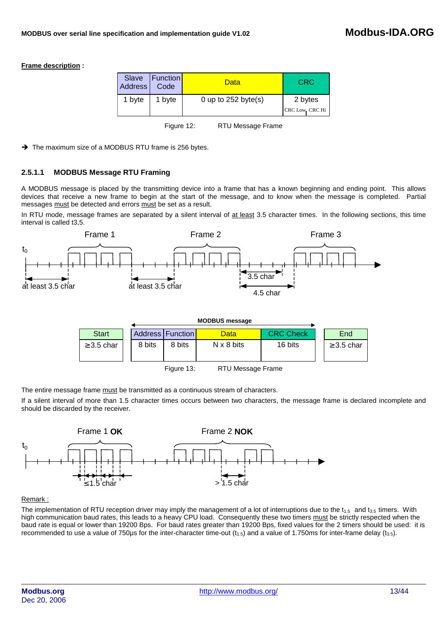## **Frame description :**

| Address | Slave   Function  <br>Code | Data                  | <b>CRC</b>                |
|---------|----------------------------|-----------------------|---------------------------|
| 1 byte  | 1 byte                     | 0 up to $252$ byte(s) | 2 bytes<br>CRC Low CRC Hi |

Figure 12: RTU Message Frame

 $\rightarrow$  The maximum size of a MODBUS RTU frame is 256 bytes.

# **2.5.1.1 MODBUS Message RTU Framing**

A MODBUS message is placed by the transmitting device into a frame that has a known beginning and ending point. This allows devices that receive a new frame to begin at the start of the message, and to know when the message is completed. Partial messages must be detected and errors must be set as a result.

In RTU mode, message frames are separated by a silent interval of at least 3.5 character times. In the following sections, this time interval is called t3,5.



|                 |  |        |                    | <b>MODBUS message</b> |                  |  |                 |  |
|-----------------|--|--------|--------------------|-----------------------|------------------|--|-----------------|--|
| <b>Start</b>    |  |        | Address   Function | <b>Data</b>           | <b>CRC Check</b> |  | End             |  |
| $\geq$ 3.5 char |  | 8 bits | 8 bits             | $N \times 8$ bits     | 16 bits          |  | $\geq$ 3.5 char |  |
| $-1$            |  |        |                    |                       |                  |  |                 |  |

Figure 13: RTU Message Frame

The entire message frame must be transmitted as a continuous stream of characters.

If a silent interval of more than 1.5 character times occurs between two characters, the message frame is declared incomplete and should be discarded by the receiver.



## Remark :

The implementation of RTU reception driver may imply the management of a lot of interruptions due to the  $t_{1.5}$  and  $t_{3.5}$  timers. With high communication baud rates, this leads to a heavy CPU load. Consequently these two timers must be strictly respected when the baud rate is equal or lower than 19200 Bps. For baud rates greater than 19200 Bps, fixed values for the 2 timers should be used: it is recommended to use a value of 750 µs for the inter-character time-out  $(t_{1.5})$  and a value of 1.750ms for inter-frame delay  $(t_{3.5})$ .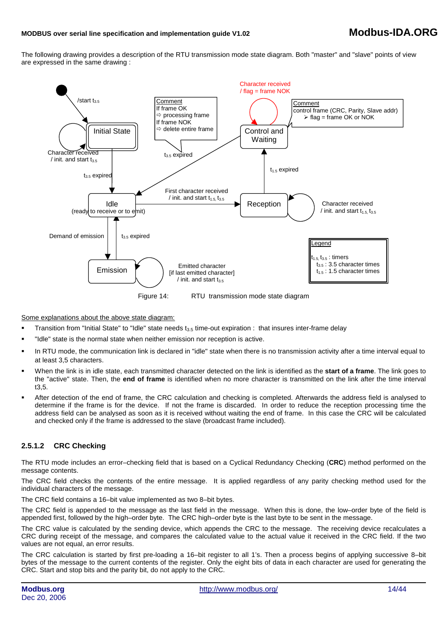# **MODBUS over serial line specification and implementation guide V1.0<sup>2</sup> Modbus-IDA.ORG**

The following drawing provides a description of the RTU transmission mode state diagram. Both "master" and "slave" points of view are expressed in the same drawing :



Some explanations about the above state diagram:

- Transition from "Initial State" to "Idle" state needs  $t_{3.5}$  time-out expiration : that insures inter-frame delay
- "Idle" state is the normal state when neither emission nor reception is active.
- **IDED 15 a.m** in RTU mode, the communication link is declared in "idle" state when there is no transmission activity after a time interval equal to at least 3,5 characters.
- When the link is in idle state, each transmitted character detected on the link is identified as the **start of a frame**. The link goes to the "active" state. Then, the **end of frame** is identified when no more character is transmitted on the link after the time interval t3,5.
- After detection of the end of frame, the CRC calculation and checking is completed. Afterwards the address field is analysed to determine if the frame is for the device. If not the frame is discarded. In order to reduce the reception processing time the address field can be analysed as soon as it is received without waiting the end of frame. In this case the CRC will be calculated and checked only if the frame is addressed to the slave (broadcast frame included).

## **2.5.1.2 CRC Checking**

The RTU mode includes an error–checking field that is based on a Cyclical Redundancy Checking (**CRC**) method performed on the message contents.

The CRC field checks the contents of the entire message. It is applied regardless of any parity checking method used for the individual characters of the message.

The CRC field contains a 16–bit value implemented as two 8–bit bytes.

The CRC field is appended to the message as the last field in the message. When this is done, the low–order byte of the field is appended first, followed by the high–order byte. The CRC high–order byte is the last byte to be sent in the message.

The CRC value is calculated by the sending device, which appends the CRC to the message. The receiving device recalculates a CRC during receipt of the message, and compares the calculated value to the actual value it received in the CRC field. If the two values are not equal, an error results.

The CRC calculation is started by first pre-loading a 16–bit register to all 1's. Then a process begins of applying successive 8–bit bytes of the message to the current contents of the register. Only the eight bits of data in each character are used for generating the CRC. Start and stop bits and the parity bit, do not apply to the CRC.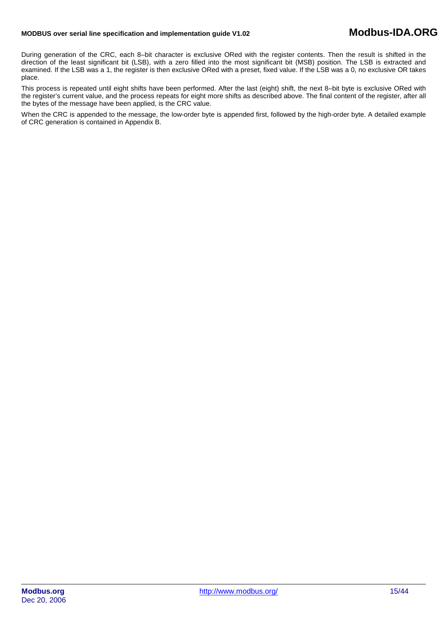# **MODBUS over serial line specification and implementation guide V1.0<sup>2</sup> Modbus-IDA.ORG**

During generation of the CRC, each 8–bit character is exclusive ORed with the register contents. Then the result is shifted in the direction of the least significant bit (LSB), with a zero filled into the most significant bit (MSB) position. The LSB is extracted and examined. If the LSB was a 1, the register is then exclusive ORed with a preset, fixed value. If the LSB was a 0, no exclusive OR takes place.

This process is repeated until eight shifts have been performed. After the last (eight) shift, the next 8–bit byte is exclusive ORed with the register's current value, and the process repeats for eight more shifts as described above. The final content of the register, after all the bytes of the message have been applied, is the CRC value.

When the CRC is appended to the message, the low-order byte is appended first, followed by the high-order byte. A detailed example of CRC generation is contained in Appendix B.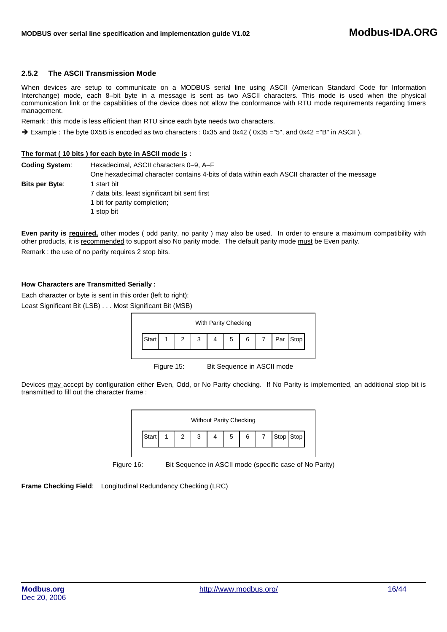## **2.5.2 The ASCII Transmission Mode**

When devices are setup to communicate on a MODBUS serial line using ASCII (American Standard Code for Information Interchange) mode, each 8–bit byte in a message is sent as two ASCII characters. This mode is used when the physical communication link or the capabilities of the device does not allow the conformance with RTU mode requirements regarding timers management.

Remark : this mode is less efficient than RTU since each byte needs two characters.

→ Example : The byte 0X5B is encoded as two characters : 0x35 and 0x42 (0x35 = "5", and 0x42 = "B" in ASCII).

#### **The format ( 10 bits ) for each byte in ASCII mode is :**

| <b>Coding System:</b> | Hexadecimal, ASCII characters 0–9, A–F                                                       |
|-----------------------|----------------------------------------------------------------------------------------------|
|                       | One hexadecimal character contains 4-bits of data within each ASCII character of the message |
| Bits per Byte:        | I start bit                                                                                  |
|                       | 7 data bits, least significant bit sent first                                                |
|                       | 1 bit for parity completion;                                                                 |
|                       | l stop bit                                                                                   |

**Even parity is required,** other modes ( odd parity, no parity ) may also be used. In order to ensure a maximum compatibility with other products, it is recommended to support also No parity mode. The default parity mode must be Even parity. Remark : the use of no parity requires 2 stop bits.

#### **How Characters are Transmitted Serially :**

Each character or byte is sent in this order (left to right): Least Significant Bit (LSB) . . . Most Significant Bit (MSB)

| With Parity Checking |  |        |   |  |   |   |  |     |      |  |
|----------------------|--|--------|---|--|---|---|--|-----|------|--|
| Start                |  | $\sim$ | 3 |  | 5 | 6 |  | Par | Stop |  |

Figure 15: Bit Sequence in ASCII mode

Devices may accept by configuration either Even, Odd, or No Parity checking. If No Parity is implemented, an additional stop bit is transmitted to fill out the character frame :



Figure 16: Bit Sequence in ASCII mode (specific case of No Parity)

**Frame Checking Field**: Longitudinal Redundancy Checking (LRC)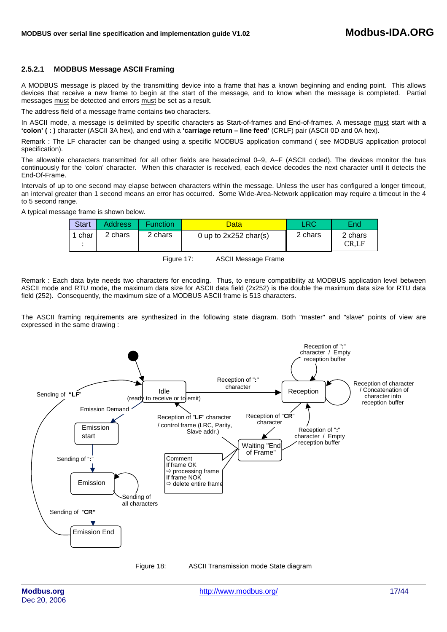## **2.5.2.1 MODBUS Message ASCII Framing**

A MODBUS message is placed by the transmitting device into a frame that has a known beginning and ending point. This allows devices that receive a new frame to begin at the start of the message, and to know when the message is completed. Partial messages must be detected and errors must be set as a result.

The address field of a message frame contains two characters.

In ASCII mode, a message is delimited by specific characters as Start-of-frames and End-of-frames. A message must start with **a 'colon' ( : )** character (ASCII 3A hex), and end with a **'carriage return – line feed'** (CRLF) pair (ASCII 0D and 0A hex).

Remark : The LF character can be changed using a specific MODBUS application command ( see MODBUS application protocol specification).

The allowable characters transmitted for all other fields are hexadecimal 0–9, A–F (ASCII coded). The devices monitor the bus continuously for the 'colon' character. When this character is received, each device decodes the next character until it detects the End-Of-Frame.

Intervals of up to one second may elapse between characters within the message. Unless the user has configured a longer timeout, an interval greater than 1 second means an error has occurred. Some Wide-Area-Network application may require a timeout in the 4 to 5 second range.

A typical message frame is shown below.

| <b>Start</b> | <b>Address</b> | <b>Function</b> | Data                    | 1RC     | End              |
|--------------|----------------|-----------------|-------------------------|---------|------------------|
| 1 char       | 2 chars        | 2 chars         | 0 up to $2x252$ char(s) | 2 chars | 2 chars<br>CR.LF |

Figure 17: ASCII Message Frame

Remark : Each data byte needs two characters for encoding. Thus, to ensure compatibility at MODBUS application level between ASCII mode and RTU mode, the maximum data size for ASCII data field (2x252) is the double the maximum data size for RTU data field (252). Consequently, the maximum size of a MODBUS ASCII frame is 513 characters.

The ASCII framing requirements are synthesized in the following state diagram. Both "master" and "slave" points of view are expressed in the same drawing :



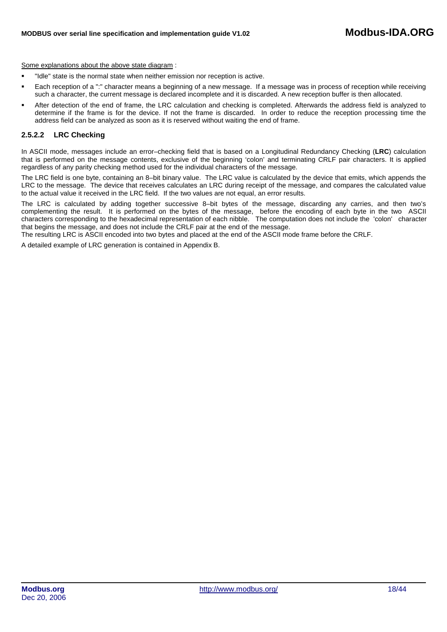Some explanations about the above state diagram :

- "Idle" state is the normal state when neither emission nor reception is active.
- Each reception of a ":" character means a beginning of a new message. If a message was in process of reception while receiving such a character, the current message is declared incomplete and it is discarded. A new reception buffer is then allocated.
- After detection of the end of frame, the LRC calculation and checking is completed. Afterwards the address field is analyzed to determine if the frame is for the device. If not the frame is discarded. In order to reduce the reception processing time the address field can be analyzed as soon as it is reserved without waiting the end of frame.

#### **2.5.2.2 LRC Checking**

In ASCII mode, messages include an error–checking field that is based on a Longitudinal Redundancy Checking (**LRC**) calculation that is performed on the message contents, exclusive of the beginning 'colon' and terminating CRLF pair characters. It is applied regardless of any parity checking method used for the individual characters of the message.

The LRC field is one byte, containing an 8–bit binary value. The LRC value is calculated by the device that emits, which appends the LRC to the message. The device that receives calculates an LRC during receipt of the message, and compares the calculated value to the actual value it received in the LRC field. If the two values are not equal, an error results.

The LRC is calculated by adding together successive 8–bit bytes of the message, discarding any carries, and then two's complementing the result. It is performed on the bytes of the message, before the encoding of each byte in the two ASCII characters corresponding to the hexadecimal representation of each nibble. The computation does not include the 'colon' character that begins the message, and does not include the CRLF pair at the end of the message.

The resulting LRC is ASCII encoded into two bytes and placed at the end of the ASCII mode frame before the CRLF.

A detailed example of LRC generation is contained in Appendix B.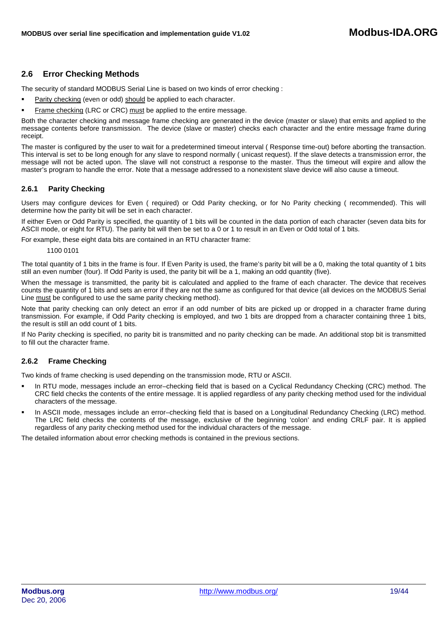# <span id="page-18-0"></span>**2.6 Error Checking Methods**

The security of standard MODBUS Serial Line is based on two kinds of error checking :

- Parity checking (even or odd) should be applied to each character.
- Frame checking (LRC or CRC) must be applied to the entire message.

Both the character checking and message frame checking are generated in the device (master or slave) that emits and applied to the message contents before transmission. The device (slave or master) checks each character and the entire message frame during receipt.

The master is configured by the user to wait for a predetermined timeout interval ( Response time-out) before aborting the transaction. This interval is set to be long enough for any slave to respond normally ( unicast request). If the slave detects a transmission error, the message will not be acted upon. The slave will not construct a response to the master. Thus the timeout will expire and allow the master's program to handle the error. Note that a message addressed to a nonexistent slave device will also cause a timeout.

## **2.6.1 Parity Checking**

Users may configure devices for Even ( required) or Odd Parity checking, or for No Parity checking ( recommended). This will determine how the parity bit will be set in each character.

If either Even or Odd Parity is specified, the quantity of 1 bits will be counted in the data portion of each character (seven data bits for ASCII mode, or eight for RTU). The parity bit will then be set to a 0 or 1 to result in an Even or Odd total of 1 bits.

For example, these eight data bits are contained in an RTU character frame:

1100 0101

The total quantity of 1 bits in the frame is four. If Even Parity is used, the frame's parity bit will be a 0, making the total quantity of 1 bits still an even number (four). If Odd Parity is used, the parity bit will be a 1, making an odd quantity (five).

When the message is transmitted, the parity bit is calculated and applied to the frame of each character. The device that receives counts the quantity of 1 bits and sets an error if they are not the same as configured for that device (all devices on the MODBUS Serial Line must be configured to use the same parity checking method).

Note that parity checking can only detect an error if an odd number of bits are picked up or dropped in a character frame during transmission. For example, if Odd Parity checking is employed, and two 1 bits are dropped from a character containing three 1 bits, the result is still an odd count of 1 bits.

If No Parity checking is specified, no parity bit is transmitted and no parity checking can be made. An additional stop bit is transmitted to fill out the character frame.

# **2.6.2 Frame Checking**

Two kinds of frame checking is used depending on the transmission mode, RTU or ASCII.

- In RTU mode, messages include an error–checking field that is based on a Cyclical Redundancy Checking (CRC) method. The CRC field checks the contents of the entire message. It is applied regardless of any parity checking method used for the individual characters of the message.
- In ASCII mode, messages include an error–checking field that is based on a Longitudinal Redundancy Checking (LRC) method. The LRC field checks the contents of the message, exclusive of the beginning 'colon' and ending CRLF pair. It is applied regardless of any parity checking method used for the individual characters of the message.

The detailed information about error checking methods is contained in the previous sections.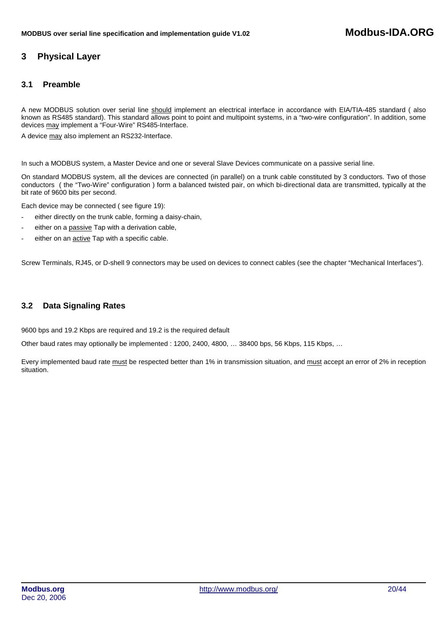# <span id="page-19-0"></span>**3 Physical Layer**

# **3.1 Preamble**

A new MODBUS solution over serial line should implement an electrical interface in accordance with EIA/TIA-485 standard (also known as RS485 standard). This standard allows point to point and multipoint systems, in a "two-wire configuration". In addition, some devices may implement a "Four-Wire" RS485-Interface.

A device may also implement an RS232-Interface.

In such a MODBUS system, a Master Device and one or several Slave Devices communicate on a passive serial line.

On standard MODBUS system, all the devices are connected (in parallel) on a trunk cable constituted by 3 conductors. Two of those conductors ( the "Two-Wire" configuration ) form a balanced twisted pair, on which bi-directional data are transmitted, typically at the bit rate of 9600 bits per second.

Each device may be connected ( see figure 19):

- either directly on the trunk cable, forming a daisy-chain,
- either on a passive Tap with a derivation cable,
- either on an **active** Tap with a specific cable.

Screw Terminals, RJ45, or D-shell 9 connectors may be used on devices to connect cables (see the chapter "Mechanical Interfaces").

# **3.2 Data Signaling Rates**

9600 bps and 19.2 Kbps are required and 19.2 is the required default

Other baud rates may optionally be implemented : 1200, 2400, 4800, ... 38400 bps, 56 Kbps, 115 Kbps, ...

Every implemented baud rate must be respected better than 1% in transmission situation, and must accept an error of 2% in reception situation.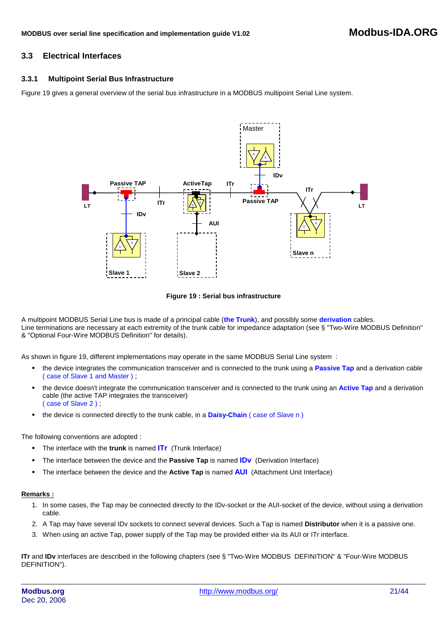# <span id="page-20-0"></span>**3.3 Electrical Interfaces**

## **3.3.1 Multipoint Serial Bus Infrastructure**

Figure 19 gives a general overview of the serial bus infrastructure in a MODBUS multipoint Serial Line system.



**Figure 19 : Serial bus infrastructure**

A multipoint MODBUS Serial Line bus is made of a principal cable (**the Trunk**), and possibly some **derivation** cables. Line terminations are necessary at each extremity of the trunk cable for impedance adaptation (see § "Two-Wire MODBUS Definition" & "Optional Four-Wire MODBUS Definition" for details).

As shown in figure 19, different implementations may operate in the same MODBUS Serial Line system :

- the device integrates the communication transceiver and is connected to the trunk using a **Passive Tap** and a derivation cable ( case of Slave 1 and Master ) ;
- the device doesn't integrate the communication transceiver and is connected to the trunk using an **Active Tap** and a derivation cable (the active TAP integrates the transceiver) ( case of Slave 2 ) ;
- the device is connected directly to the trunk cable, in a **Daisy-Chain** ( case of Slave n )

The following conventions are adopted :

- The interface with the **trunk** is named **ITr** (Trunk Interface)
- The interface between the device and the **Passive Tap** is named **IDv** (Derivation Interface)
- The interface between the device and the **Active Tap** is named **AUI** (Attachment Unit Interface)

#### **Remarks :**

- 1. In some cases, the Tap may be connected directly to the IDv-socket or the AUI-socket of the device, without using a derivation cable.
- 2. A Tap may have several IDv sockets to connect several devices. Such a Tap is named **Distributor** when it is a passive one.
- 3. When using an active Tap, power supply of the Tap may be provided either via its AUI or ITr interface.

**ITr** and **IDv** interfaces are described in the following chapters (see § "Two-Wire MODBUS DEFINITION" & "Four-Wire MODBUS DEFINITION").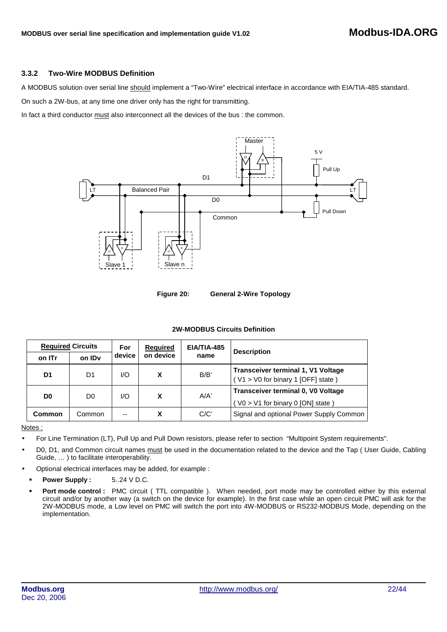## **3.3.2 Two-Wire MODBUS Definition**

A MODBUS solution over serial line should implement a "Two-Wire" electrical interface in accordance with EIA/TIA-485 standard.

On such a 2W-bus, at any time one driver only has the right for transmitting.

In fact a third conductor must also interconnect all the devices of the bus : the common.



**Figure 20: General 2-Wire Topology** 

#### **2W-MODBUS Circuits Definition**

|                | <b>Required Circuits</b> |        | <b>Required</b> | EIA/TIA-485 | <b>Description</b>                                                              |  |
|----------------|--------------------------|--------|-----------------|-------------|---------------------------------------------------------------------------------|--|
| on ITr         | on ID <sub>v</sub>       | device | on device       | name        |                                                                                 |  |
| D1             | D1                       | I/O    | X               | B/B'        | <b>Transceiver terminal 1, V1 Voltage</b><br>(V1 > V0 for binary 1 [OFF] state) |  |
| D <sub>0</sub> | D <sub>0</sub>           | I/O    | X               | A/A'        | Transceiver terminal 0, V0 Voltage<br>$VO > VI$ for binary 0 [ON] state )       |  |
| Common         | Common                   | --     | X               | C/C'        | Signal and optional Power Supply Common                                         |  |

Notes :

- For Line Termination (LT), Pull Up and Pull Down resistors, please refer to section "Multipoint System requirements".
- D0, D1, and Common circuit names must be used in the documentation related to the device and the Tap (User Guide, Cabling Guide, … ) to facilitate interoperability.
- Optional electrical interfaces may be added, for example :
	- **Power Supply :**  $5..24$  **V D.C.**
	- **Port mode control :** PMC circuit ( TTL compatible ). When needed, port mode may be controlled either by this external circuit and/or by another way (a switch on the device for example). In the first case while an open circuit PMC will ask for the 2W-MODBUS mode, a Low level on PMC will switch the port into 4W-MODBUS or RS232-MODBUS Mode, depending on the implementation.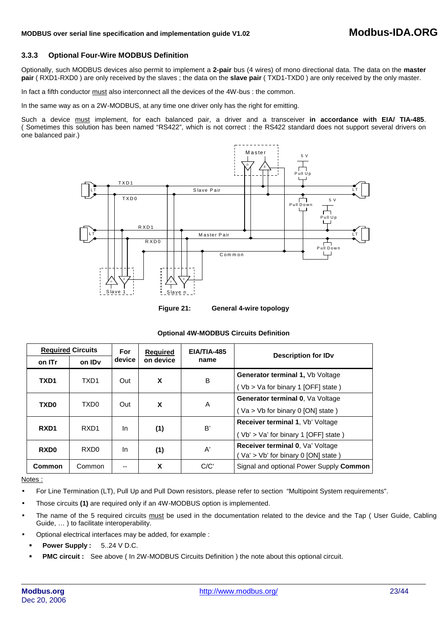## **3.3.3 Optional Four-Wire MODBUS Definition**

Optionally, such MODBUS devices also permit to implement a **2-pair** bus (4 wires) of mono directional data. The data on the **master pair** ( RXD1-RXD0 ) are only received by the slaves ; the data on the **slave pair** ( TXD1-TXD0 ) are only received by the only master.

In fact a fifth conductor must also interconnect all the devices of the 4W-bus : the common.

In the same way as on a 2W-MODBUS, at any time one driver only has the right for emitting.

Such a device must implement, for each balanced pair, a driver and a transceiver **in accordance with EIA/ TIA-485**. ( Sometimes this solution has been named "RS422", which is not correct : the RS422 standard does not support several drivers on one balanced pair.)





#### **Optional 4W-MODBUS Circuits Definition**

|                  | <b>Required Circuits</b> |        | <b>Required</b> | EIA/TIA-485   | Description for ID <sub>v</sub>         |                                  |
|------------------|--------------------------|--------|-----------------|---------------|-----------------------------------------|----------------------------------|
| on ITr           | on ID <sub>v</sub>       | device | on device       | name          |                                         |                                  |
| TXD <sub>1</sub> | TXD <sub>1</sub>         | Out    | X               | B             | Generator terminal 1, Vb Voltage        |                                  |
|                  |                          |        |                 |               | (Vb > Va for binary 1 [OFF] state)      |                                  |
| TXD <sub>0</sub> | TXD <sub>0</sub>         | Out    |                 |               | X<br>A                                  | Generator terminal 0, Va Voltage |
|                  |                          |        |                 |               | (Va > Vb for binary 0 [ON] state)       |                                  |
| RXD <sub>1</sub> | RXD <sub>1</sub>         | In     |                 | B'            | Receiver terminal 1, Vb' Voltage        |                                  |
|                  |                          |        | (1)             |               | (Vb' > Va' for binary 1 [OFF] state)    |                                  |
| RXD <sub>0</sub> | RXD <sub>0</sub>         | In     | (1)             | $\mathsf{A}'$ | Receiver terminal 0, Va' Voltage        |                                  |
|                  |                          |        |                 |               | Va' > Vb' for binary 0 [ON] state )     |                                  |
| Common           | Common                   | --     | X               | C/C'          | Signal and optional Power Supply Common |                                  |

#### Notes :

- For Line Termination (LT), Pull Up and Pull Down resistors, please refer to section "Multipoint System requirements".
- Those circuits **(1)** are required only if an 4W-MODBUS option is implemented.
- The name of the 5 required circuits must be used in the documentation related to the device and the Tap (User Guide, Cabling Guide, … ) to facilitate interoperability.
- Optional electrical interfaces may be added, for example :
	- **Power Supply :** 5..24 V D.C.
	- **PMC circuit :** See above ( In 2W-MODBUS Circuits Definition ) the note about this optional circuit.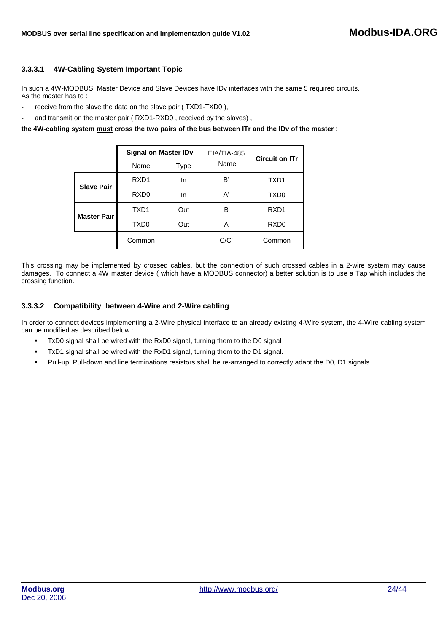## **3.3.3.1 4W-Cabling System Important Topic**

In such a 4W-MODBUS, Master Device and Slave Devices have IDv interfaces with the same 5 required circuits. As the master has to :

- receive from the slave the data on the slave pair (TXD1-TXD0),
- and transmit on the master pair ( RXD1-RXD0, received by the slaves),

**the 4W-cabling system must cross the two pairs of the bus between ITr and the IDv of the master** :

|                    | <b>Signal on Master IDv</b> |      | EIA/TIA-485 | <b>Circuit on ITr</b> |
|--------------------|-----------------------------|------|-------------|-----------------------|
|                    | Name                        | Type | Name        |                       |
| <b>Slave Pair</b>  | RXD <sub>1</sub>            | In   | B'          | TXD1                  |
|                    | RXD <sub>0</sub>            | In   | A'          | TXD <sub>0</sub>      |
| <b>Master Pair</b> | TXD1                        | Out  | в           | RXD <sub>1</sub>      |
|                    | TXD <sub>0</sub>            | Out  | A           | RXD <sub>0</sub>      |
|                    | Common                      | --   | C/C'        | Common                |

This crossing may be implemented by crossed cables, but the connection of such crossed cables in a 2-wire system may cause damages. To connect a 4W master device ( which have a MODBUS connector) a better solution is to use a Tap which includes the crossing function.

#### **3.3.3.2 Compatibility between 4-Wire and 2-Wire cabling**

In order to connect devices implementing a 2-Wire physical interface to an already existing 4-Wire system, the 4-Wire cabling system can be modified as described below :

- TxD0 signal shall be wired with the RxD0 signal, turning them to the D0 signal
- TxD1 signal shall be wired with the RxD1 signal, turning them to the D1 signal.
- Pull-up, Pull-down and line terminations resistors shall be re-arranged to correctly adapt the D0, D1 signals.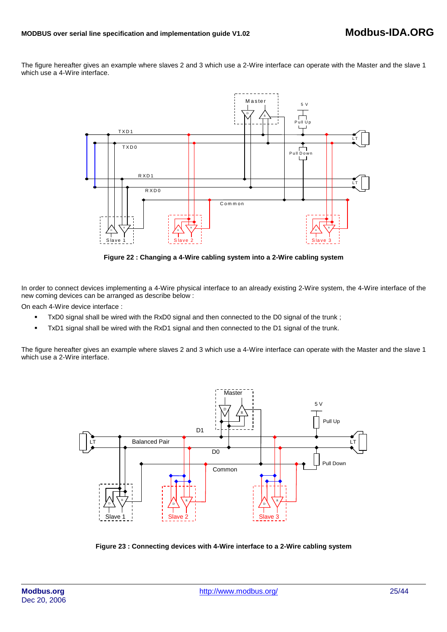The figure hereafter gives an example where slaves 2 and 3 which use a 2-Wire interface can operate with the Master and the slave 1 which use a 4-Wire interface.



**Figure 22 : Changing a 4-Wire cabling system into a 2-Wire cabling system** 

In order to connect devices implementing a 4-Wire physical interface to an already existing 2-Wire system, the 4-Wire interface of the new coming devices can be arranged as describe below :

On each 4-Wire device interface :

- TxD0 signal shall be wired with the RxD0 signal and then connected to the D0 signal of the trunk;
- TxD1 signal shall be wired with the RxD1 signal and then connected to the D1 signal of the trunk.

The figure hereafter gives an example where slaves 2 and 3 which use a 4-Wire interface can operate with the Master and the slave 1 which use a 2-Wire interface.



**Figure 23 : Connecting devices with 4-Wire interface to a 2-Wire cabling system**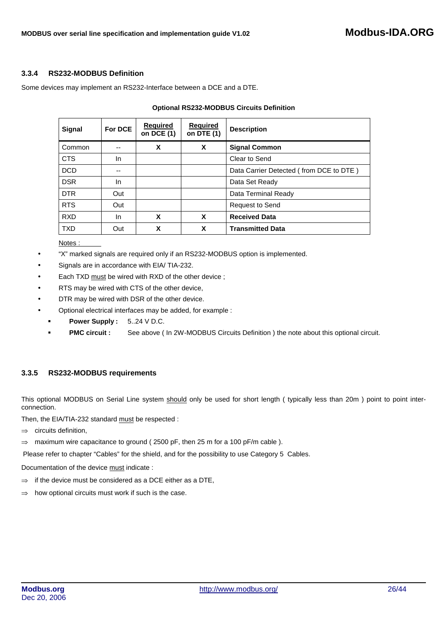## **3.3.4 RS232-MODBUS Definition**

Some devices may implement an RS232-Interface between a DCE and a DTE.

| <b>Signal</b> | For DCE | Required<br>on DCE (1) | <b>Required</b><br>on DTE (1) | <b>Description</b>                      |
|---------------|---------|------------------------|-------------------------------|-----------------------------------------|
| Common        |         | X                      | X                             | <b>Signal Common</b>                    |
| <b>CTS</b>    | In.     |                        |                               | Clear to Send                           |
| <b>DCD</b>    | --      |                        |                               | Data Carrier Detected (from DCE to DTE) |
| <b>DSR</b>    | In.     |                        |                               | Data Set Ready                          |
| <b>DTR</b>    | Out     |                        |                               | Data Terminal Ready                     |
| <b>RTS</b>    | Out     |                        |                               | <b>Request to Send</b>                  |
| <b>RXD</b>    | In.     | X                      | X                             | <b>Received Data</b>                    |
| <b>TXD</b>    | Out     | X                      | X                             | <b>Transmitted Data</b>                 |

## **Optional RS232-MODBUS Circuits Definition**

Notes :

- "X" marked signals are required only if an RS232-MODBUS option is implemented.
- Signals are in accordance with EIA/ TIA-232.
- Each TXD must be wired with RXD of the other device;
- RTS may be wired with CTS of the other device,
- DTR may be wired with DSR of the other device.
- Optional electrical interfaces may be added, for example :
	- **Power Supply :** 5..24 V D.C.
	- **PMC circuit :** See above ( In 2W-MODBUS Circuits Definition ) the note about this optional circuit.

# **3.3.5 RS232-MODBUS requirements**

This optional MODBUS on Serial Line system should only be used for short length ( typically less than 20m ) point to point interconnection.

Then, the EIA/TIA-232 standard must be respected :

- ⇒ circuits definition,
- ⇒ maximum wire capacitance to ground ( 2500 pF, then 25 m for a 100 pF/m cable ).

Please refer to chapter "Cables" for the shield, and for the possibility to use Category 5 Cables.

Documentation of the device must indicate :

- $\Rightarrow$  if the device must be considered as a DCE either as a DTE,
- $\Rightarrow$  how optional circuits must work if such is the case.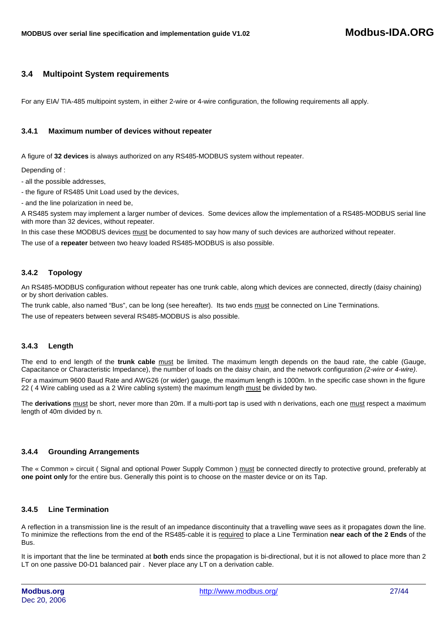# <span id="page-26-0"></span>**3.4 Multipoint System requirements**

For any EIA/ TIA-485 multipoint system, in either 2-wire or 4-wire configuration, the following requirements all apply.

## **3.4.1 Maximum number of devices without repeater**

A figure of **32 devices** is always authorized on any RS485-MODBUS system without repeater.

Depending of :

- all the possible addresses,

- the figure of RS485 Unit Load used by the devices,

- and the line polarization in need be,

A RS485 system may implement a larger number of devices. Some devices allow the implementation of a RS485-MODBUS serial line with more than 32 devices, without repeater.

In this case these MODBUS devices must be documented to say how many of such devices are authorized without repeater.

The use of a **repeater** between two heavy loaded RS485-MODBUS is also possible.

## **3.4.2 Topology**

An RS485-MODBUS configuration without repeater has one trunk cable, along which devices are connected, directly (daisy chaining) or by short derivation cables.

The trunk cable, also named "Bus", can be long (see hereafter). Its two ends must be connected on Line Terminations.

The use of repeaters between several RS485-MODBUS is also possible.

## **3.4.3 Length**

The end to end length of the **trunk cable** must be limited. The maximum length depends on the baud rate, the cable (Gauge, Capacitance or Characteristic Impedance), the number of loads on the daisy chain, and the network configuration *(2-wire or 4-wire)*.

For a maximum 9600 Baud Rate and AWG26 (or wider) gauge, the maximum length is 1000m. In the specific case shown in the figure 22 ( 4 Wire cabling used as a 2 Wire cabling system) the maximum length must be divided by two.

The **derivations** must be short, never more than 20m. If a multi-port tap is used with n derivations, each one must respect a maximum length of 40m divided by n.

## **3.4.4 Grounding Arrangements**

The « Common » circuit ( Signal and optional Power Supply Common ) must be connected directly to protective ground, preferably at **one point only** for the entire bus. Generally this point is to choose on the master device or on its Tap.

# **3.4.5 Line Termination**

A reflection in a transmission line is the result of an impedance discontinuity that a travelling wave sees as it propagates down the line. To minimize the reflections from the end of the RS485-cable it is required to place a Line Termination **near each of the 2 Ends** of the Bus.

It is important that the line be terminated at **both** ends since the propagation is bi-directional, but it is not allowed to place more than 2 LT on one passive D0-D1 balanced pair . Never place any LT on a derivation cable.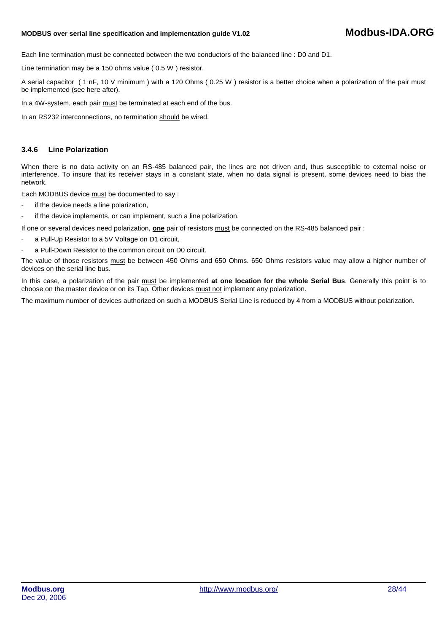# **MODBUS over serial line specification and implementation guide V1.0<sup>2</sup> Modbus-IDA.ORG**

Each line termination must be connected between the two conductors of the balanced line : D0 and D1.

Line termination may be a 150 ohms value ( 0.5 W ) resistor.

A serial capacitor ( 1 nF, 10 V minimum ) with a 120 Ohms ( 0.25 W ) resistor is a better choice when a polarization of the pair must be implemented (see here after).

In a 4W-system, each pair must be terminated at each end of the bus.

In an RS232 interconnections, no termination should be wired.

#### **3.4.6 Line Polarization**

When there is no data activity on an RS-485 balanced pair, the lines are not driven and, thus susceptible to external noise or interference. To insure that its receiver stays in a constant state, when no data signal is present, some devices need to bias the network.

Each MODBUS device must be documented to say :

- if the device needs a line polarization,
- if the device implements, or can implement, such a line polarization.

If one or several devices need polarization, **one** pair of resistors must be connected on the RS-485 balanced pair :

- a Pull-Up Resistor to a 5V Voltage on D1 circuit,
- a Pull-Down Resistor to the common circuit on D0 circuit.

The value of those resistors must be between 450 Ohms and 650 Ohms. 650 Ohms resistors value may allow a higher number of devices on the serial line bus.

In this case, a polarization of the pair must be implemented **at one location for the whole Serial Bus**. Generally this point is to choose on the master device or on its Tap. Other devices must not implement any polarization.

The maximum number of devices authorized on such a MODBUS Serial Line is reduced by 4 from a MODBUS without polarization.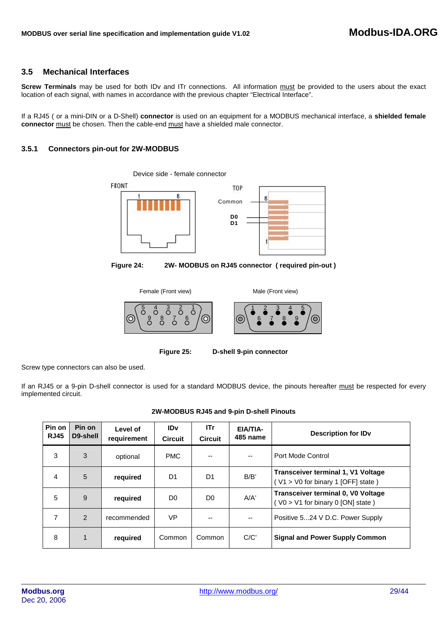# <span id="page-28-0"></span>**3.5 Mechanical Interfaces**

**Screw Terminals** may be used for both IDv and ITr connections. All information must be provided to the users about the exact location of each signal, with names in accordance with the previous chapter "Electrical Interface".

If a RJ45 ( or a mini-DIN or a D-Shell) **connector** is used on an equipment for a MODBUS mechanical interface, a **shielded female connector** must be chosen. Then the cable-end must have a shielded male connector.

## **3.5.1 Connectors pin-out for 2W-MODBUS**

FRONT TOP g g Common **D0 D1**

Device side - female connector

**Figure 24: 2W- MODBUS on RJ45 connector ( required pin-out )**



**Figure 25: D-shell 9-pin connector**

Screw type connectors can also be used.

If an RJ45 or a 9-pin D-shell connector is used for a standard MODBUS device, the pinouts hereafter must be respected for every implemented circuit.

#### **2W-MODBUS RJ45 and 9-pin D-shell Pinouts**

| Pin on<br><b>RJ45</b> | Pin on<br>D9-shell | Level of<br>requirement | <b>IDv</b><br><b>Circuit</b> | <b>ITr</b><br><b>Circuit</b> | EIA/TIA-<br>485 name     | <b>Description for IDv</b>                                                      |
|-----------------------|--------------------|-------------------------|------------------------------|------------------------------|--------------------------|---------------------------------------------------------------------------------|
| 3                     | 3                  | optional                | <b>PMC</b>                   | --                           | $\overline{\phantom{a}}$ | Port Mode Control                                                               |
| $\overline{4}$        | 5                  | required                | D1                           | D1                           | B/B'                     | <b>Transceiver terminal 1, V1 Voltage</b><br>(V1 > V0 for binary 1 [OFF] state) |
| 5                     | 9                  | required                | D <sub>0</sub>               | D <sub>0</sub>               | A/A'                     | Transceiver terminal 0, V0 Voltage<br>$($ V0 > V1 for binary 0 [ON] state)      |
| $\overline{7}$        | $\mathcal{P}$      | recommended             | VP                           |                              | $-$                      | Positive 524 V D.C. Power Supply                                                |
| 8                     | 1                  | required                | Common                       | Common                       | C/C'                     | <b>Signal and Power Supply Common</b>                                           |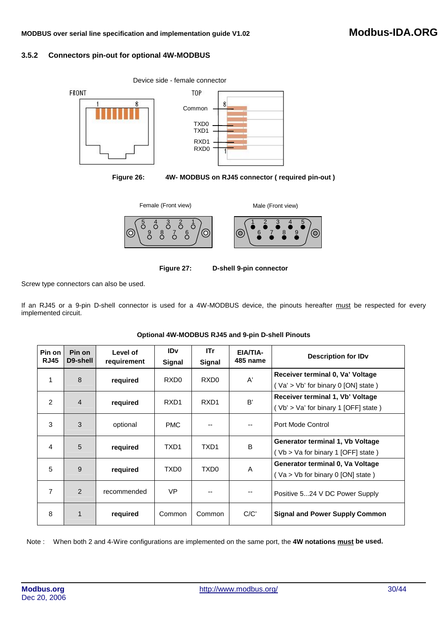# **MODBUS over serial line specification and implementation guide V1.0<sup>2</sup> Modbus-IDA.ORG**

## **3.5.2 Connectors pin-out for optional 4W-MODBUS**



**Figure 26: 4W- MODBUS on RJ45 connector ( required pin-out )** 





Screw type connectors can also be used.

If an RJ45 or a 9-pin D-shell connector is used for a 4W-MODBUS device, the pinouts hereafter must be respected for every implemented circuit.

| Pin on<br><b>RJ45</b> | Pin on<br>D9-shell | Level of<br>requirement | <b>IDv</b><br>Signal | ITr<br>Signal    | EIA/TIA-<br><b>485 name</b> | Description for ID <sub>v</sub>                                          |
|-----------------------|--------------------|-------------------------|----------------------|------------------|-----------------------------|--------------------------------------------------------------------------|
| 1                     | 8                  | required                | RXD <sub>0</sub>     | RXD <sub>0</sub> | A'                          | Receiver terminal 0, Va' Voltage<br>(Va' > Vb' for binary 0 [ON] state)  |
| $\overline{2}$        | 4                  | required                | RXD <sub>1</sub>     | RXD <sub>1</sub> | B'                          | Receiver terminal 1, Vb' Voltage<br>(Vb' > Va' for binary 1 [OFF] state) |
| 3                     | 3                  | optional                | <b>PMC</b>           |                  | $-$                         | Port Mode Control                                                        |
| 4                     | 5                  | required                | TXD <sub>1</sub>     | TXD1             | B                           | Generator terminal 1, Vb Voltage<br>(Vb > Va for binary 1 [OFF] state)   |
| 5                     | 9                  | required                | TXD0                 | TXD <sub>0</sub> | A                           | Generator terminal 0, Va Voltage<br>(Va > Vb for binary 0 [ON] state)    |
| $\overline{7}$        | $\mathcal{P}$      | recommended             | <b>VP</b>            |                  |                             | Positive 524 V DC Power Supply                                           |
| 8                     | 1                  | required                | Common               | Common           | C/C'                        | <b>Signal and Power Supply Common</b>                                    |

## **Optional 4W-MODBUS RJ45 and 9-pin D-shell Pinouts**

Note : When both 2 and 4-Wire configurations are implemented on the same port, the **4W notations must be used.**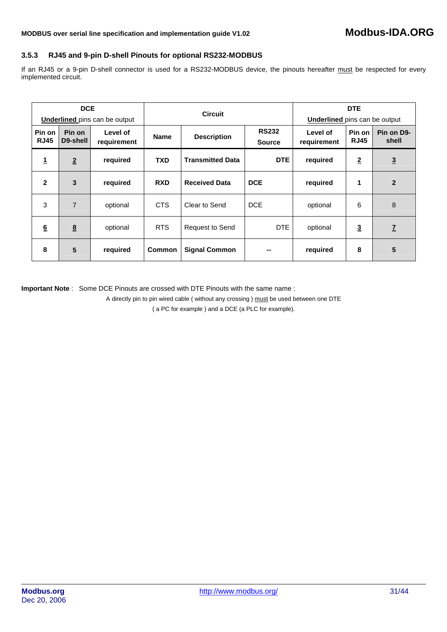# **3.5.3 RJ45 and 9-pin D-shell Pinouts for optional RS232-MODBUS**

If an RJ45 or a 9-pin D-shell connector is used for a RS232-MODBUS device, the pinouts hereafter must be respected for every implemented circuit.

|                       | <b>DCE</b><br><b>Underlined</b> pins can be output |                         | <b>Circuit</b> |                         |                               | <b>Underlined</b> pins can be output | <b>DTE</b>            |                     |
|-----------------------|----------------------------------------------------|-------------------------|----------------|-------------------------|-------------------------------|--------------------------------------|-----------------------|---------------------|
| Pin on<br><b>RJ45</b> | Pin on<br>D9-shell                                 | Level of<br>requirement | <b>Name</b>    | <b>Description</b>      | <b>RS232</b><br><b>Source</b> | Level of<br>requirement              | Pin on<br><b>RJ45</b> | Pin on D9-<br>shell |
| 1                     | $\overline{2}$                                     | required                | <b>TXD</b>     | <b>Transmitted Data</b> | DTE                           | required                             | $\overline{2}$        | $\overline{3}$      |
| $\mathbf{2}$          | 3                                                  | required                | <b>RXD</b>     | <b>Received Data</b>    | <b>DCE</b>                    | required                             | 1                     | $\overline{2}$      |
| 3                     | $\overline{7}$                                     | optional                | <b>CTS</b>     | Clear to Send           | <b>DCE</b>                    | optional                             | 6                     | 8                   |
| 6                     | 8                                                  | optional                | <b>RTS</b>     | <b>Request to Send</b>  | DTE                           | optional                             | $\overline{3}$        | $\overline{I}$      |
| 8                     | 5                                                  | required                | <b>Common</b>  | <b>Signal Common</b>    | --                            | required                             | 8                     | 5                   |

**Important Note** : Some DCE Pinouts are crossed with DTE Pinouts with the same name :

A directly pin to pin wired cable ( without any crossing ) must be used between one DTE

( a PC for example ) and a DCE (a PLC for example).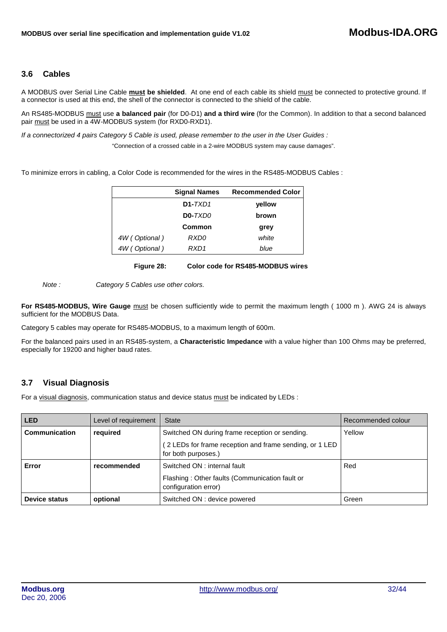# <span id="page-31-0"></span>**3.6 Cables**

A MODBUS over Serial Line Cable **must be shielded**. At one end of each cable its shield must be connected to protective ground. If a connector is used at this end, the shell of the connector is connected to the shield of the cable.

An RS485-MODBUS must use **a balanced pair** (for D0-D1) **and a third wire** (for the Common). In addition to that a second balanced pair must be used in a 4W-MODBUS system (for RXD0-RXD1).

*If a connectorized 4 pairs Category 5 Cable is used, please remember to the user in the User Guides :* 

"Connection of a crossed cable in a 2-wire MODBUS system may cause damages".

To minimize errors in cabling, a Color Code is recommended for the wires in the RS485-MODBUS Cables :

|               | <b>Signal Names</b> | <b>Recommended Color</b> |
|---------------|---------------------|--------------------------|
|               | $D1-TXD1$           | yellow                   |
|               | <b>D0-</b> TXD0     | brown                    |
|               | Common              | arev                     |
| 4W (Optional) | RXD0                | white                    |
| 4W (Optional) | RXD1                | blue                     |

**Figure 28: Color code for RS485-MODBUS wires**

*Note : Category 5 Cables use other colors.* 

**For RS485-MODBUS, Wire Gauge** must be chosen sufficiently wide to permit the maximum length ( 1000 m ). AWG 24 is always sufficient for the MODBUS Data.

Category 5 cables may operate for RS485-MODBUS, to a maximum length of 600m.

For the balanced pairs used in an RS485-system, a **Characteristic Impedance** with a value higher than 100 Ohms may be preferred, especially for 19200 and higher baud rates.

# **3.7 Visual Diagnosis**

For a visual diagnosis, communication status and device status must be indicated by LEDs :

| <b>LED</b>           | Level of requirement | <b>State</b>                                                                   | Recommended colour |
|----------------------|----------------------|--------------------------------------------------------------------------------|--------------------|
| Communication        | required             | Switched ON during frame reception or sending.                                 | Yellow             |
|                      |                      | (2 LEDs for frame reception and frame sending, or 1 LED<br>for both purposes.) |                    |
| Error                | recommended          | Switched ON : internal fault                                                   | Red                |
|                      |                      | Flashing: Other faults (Communication fault or<br>configuration error)         |                    |
| <b>Device status</b> | optional             | Switched ON : device powered                                                   | Green              |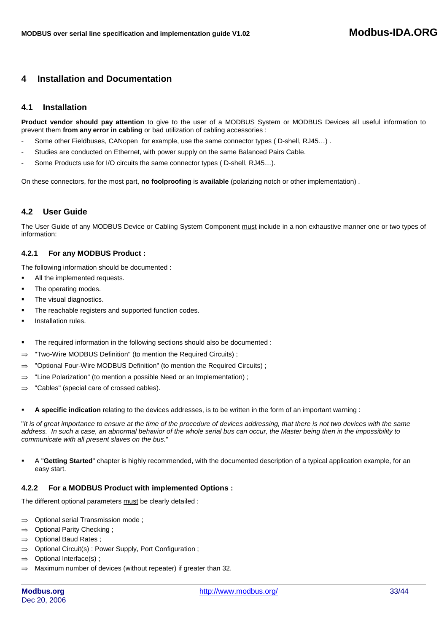# <span id="page-32-0"></span>**4 Installation and Documentation**

# **4.1 Installation**

**Product vendor should pay attention** to give to the user of a MODBUS System or MODBUS Devices all useful information to prevent them **from any error in cabling** or bad utilization of cabling accessories :

- Some other Fieldbuses, CANopen for example, use the same connector types (D-shell, RJ45...).
- Studies are conducted on Ethernet, with power supply on the same Balanced Pairs Cable.
- Some Products use for I/O circuits the same connector types (D-shell, RJ45...).

On these connectors, for the most part, **no foolproofing** is **available** (polarizing notch or other implementation) .

# **4.2 User Guide**

The User Guide of any MODBUS Device or Cabling System Component must include in a non exhaustive manner one or two types of information:

## **4.2.1 For any MODBUS Product :**

The following information should be documented :

- All the implemented requests.
- The operating modes.
- The visual diagnostics.
- The reachable registers and supported function codes.
- Installation rules.
- The required information in the following sections should also be documented :
- ⇒ "Two-Wire MODBUS Definition" (to mention the Required Circuits) ;
- ⇒ "Optional Four-Wire MODBUS Definition" (to mention the Required Circuits) ;
- ⇒ "Line Polarization" (to mention a possible Need or an Implementation) ;
- ⇒ "Cables" (special care of crossed cables).
- **A specific indication** relating to the devices addresses, is to be written in the form of an important warning :

"*It is of great importance to ensure at the time of the procedure of devices addressing, that there is not two devices with the same address. In such a case, an abnormal behavior of the whole serial bus can occur, the Master being then in the impossibility to communicate with all present slaves on the bus.*"

 A "**Getting Started**" chapter is highly recommended, with the documented description of a typical application example, for an easy start.

## **4.2.2 For a MODBUS Product with implemented Options :**

The different optional parameters must be clearly detailed :

- ⇒ Optional serial Transmission mode ;
- ⇒ Optional Parity Checking ;
- ⇒ Optional Baud Rates ;
- ⇒ Optional Circuit(s) : Power Supply, Port Configuration ;
- ⇒ Optional Interface(s) ;
- ⇒ Maximum number of devices (without repeater) if greater than 32.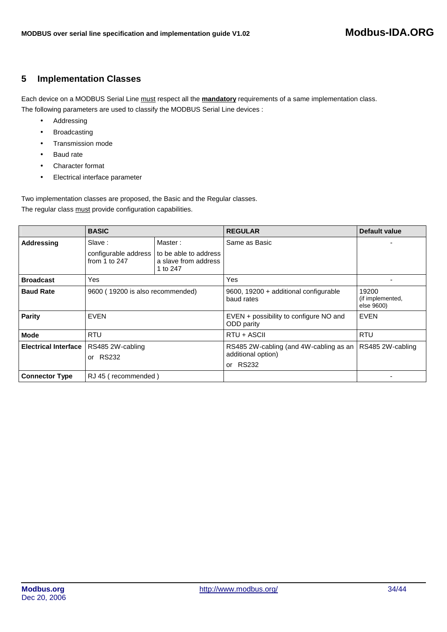# <span id="page-33-0"></span>**5 Implementation Classes**

Each device on a MODBUS Serial Line must respect all the **mandatory** requirements of a same implementation class. The following parameters are used to classify the MODBUS Serial Line devices :

- Addressing
- Broadcasting
- Transmission mode
- Baud rate
- Character format
- Electrical interface parameter

Two implementation classes are proposed, the Basic and the Regular classes. The regular class must provide configuration capabilities.

|                             | <b>BASIC</b>                            |                                                           | <b>REGULAR</b>                                       | <b>Default value</b>                    |
|-----------------------------|-----------------------------------------|-----------------------------------------------------------|------------------------------------------------------|-----------------------------------------|
| Addressing                  | Master:<br>Slave:                       |                                                           | Same as Basic                                        |                                         |
|                             | configurable address<br>from 1 to $247$ | to be able to address<br>a slave from address<br>1 to 247 |                                                      |                                         |
| <b>Broadcast</b>            | Yes                                     |                                                           | Yes                                                  |                                         |
| <b>Baud Rate</b>            | 9600 (19200 is also recommended)        |                                                           | 9600, 19200 + additional configurable<br>baud rates  | 19200<br>(if implemented,<br>else 9600) |
| Parity                      | <b>EVEN</b>                             |                                                           | EVEN + possibility to configure NO and<br>ODD parity | <b>EVEN</b>                             |
| Mode                        | <b>RTU</b>                              |                                                           | RTU + ASCII                                          | <b>RTU</b>                              |
| <b>Electrical Interface</b> | RS485 2W-cabling                        |                                                           | RS485 2W-cabling (and 4W-cabling as an               | RS485 2W-cabling                        |
|                             | <b>RS232</b><br>or                      |                                                           | additional option)                                   |                                         |
|                             |                                         |                                                           | or RS232                                             |                                         |
| <b>Connector Type</b>       | RJ 45 (recommended)                     |                                                           |                                                      |                                         |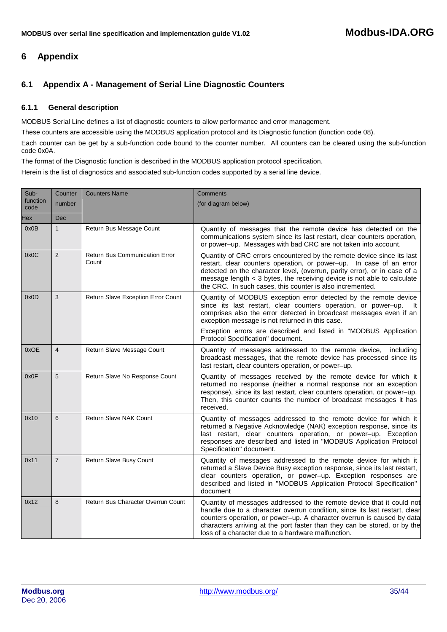# <span id="page-34-0"></span>**6 Appendix**

# **6.1 Appendix A - Management of Serial Line Diagnostic Counters**

# **6.1.1 General description**

MODBUS Serial Line defines a list of diagnostic counters to allow performance and error management.

These counters are accessible using the MODBUS application protocol and its Diagnostic function (function code 08).

Each counter can be get by a sub-function code bound to the counter number. All counters can be cleared using the sub-function code 0x0A.

The format of the Diagnostic function is described in the MODBUS application protocol specification.

Herein is the list of diagnostics and associated sub-function codes supported by a serial line device.

| Sub-             | Counter        | <b>Counters Name</b>                           | Comments                                                                                                                                                                                                                                                                                                                                                           |
|------------------|----------------|------------------------------------------------|--------------------------------------------------------------------------------------------------------------------------------------------------------------------------------------------------------------------------------------------------------------------------------------------------------------------------------------------------------------------|
| function<br>code | number         |                                                | (for diagram below)                                                                                                                                                                                                                                                                                                                                                |
| Hex              | <b>Dec</b>     |                                                |                                                                                                                                                                                                                                                                                                                                                                    |
| 0x0B             | $\mathbf{1}$   | Return Bus Message Count                       | Quantity of messages that the remote device has detected on the<br>communications system since its last restart, clear counters operation,<br>or power-up. Messages with bad CRC are not taken into account.                                                                                                                                                       |
| 0x0C             | $\overline{2}$ | <b>Return Bus Communication Error</b><br>Count | Quantity of CRC errors encountered by the remote device since its last<br>restart, clear counters operation, or power-up. In case of an error<br>detected on the character level, (overrun, parity error), or in case of a<br>message length < 3 bytes, the receiving device is not able to calculate<br>the CRC. In such cases, this counter is also incremented. |
| 0x0D             | 3              | Return Slave Exception Error Count             | Quantity of MODBUS exception error detected by the remote device<br>since its last restart, clear counters operation, or power-up.<br>It<br>comprises also the error detected in broadcast messages even if an<br>exception message is not returned in this case.                                                                                                  |
|                  |                |                                                | Exception errors are described and listed in "MODBUS Application<br>Protocol Specification" document.                                                                                                                                                                                                                                                              |
| 0xOE             | $\overline{4}$ | Return Slave Message Count                     | Quantity of messages addressed to the remote device,<br>including<br>broadcast messages, that the remote device has processed since its<br>last restart, clear counters operation, or power-up.                                                                                                                                                                    |
| 0x0F             | 5              | Return Slave No Response Count                 | Quantity of messages received by the remote device for which it<br>returned no response (neither a normal response nor an exception<br>response), since its last restart, clear counters operation, or power-up.<br>Then, this counter counts the number of broadcast messages it has<br>received.                                                                 |
| 0x10             | 6              | <b>Return Slave NAK Count</b>                  | Quantity of messages addressed to the remote device for which it<br>returned a Negative Acknowledge (NAK) exception response, since its<br>last restart, clear counters operation, or power-up. Exception<br>responses are described and listed in "MODBUS Application Protocol<br>Specification" document.                                                        |
| 0x11             | $\overline{7}$ | Return Slave Busy Count                        | Quantity of messages addressed to the remote device for which it<br>returned a Slave Device Busy exception response, since its last restart,<br>clear counters operation, or power-up. Exception responses are<br>described and listed in "MODBUS Application Protocol Specification"<br>document                                                                  |
| 0x12             | 8              | Return Bus Character Overrun Count             | Quantity of messages addressed to the remote device that it could not<br>handle due to a character overrun condition, since its last restart, clear<br>counters operation, or power-up. A character overrun is caused by data<br>characters arriving at the port faster than they can be stored, or by the<br>loss of a character due to a hardware malfunction.   |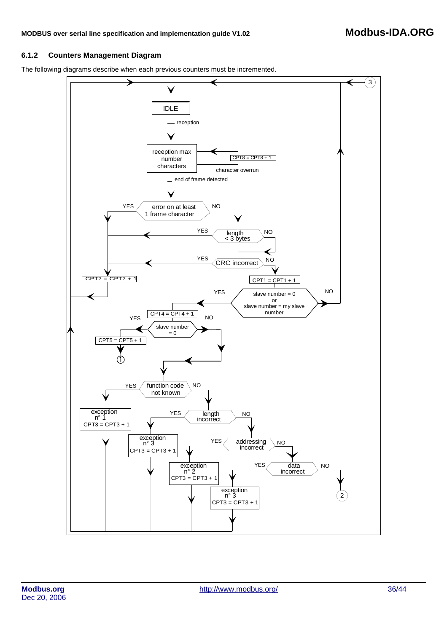# **6.1.2 Counters Management Diagram**

The following diagrams describe when each previous counters must be incremented.

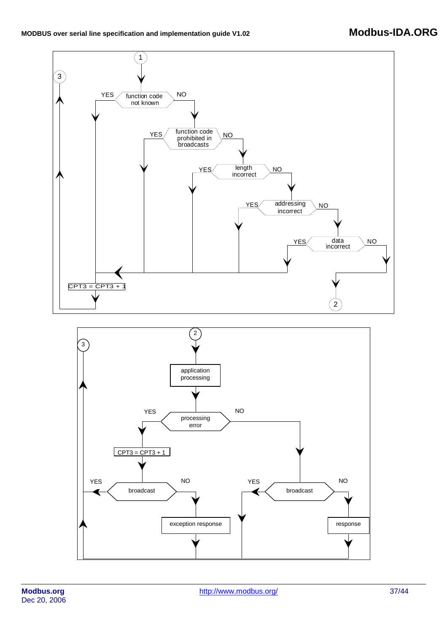

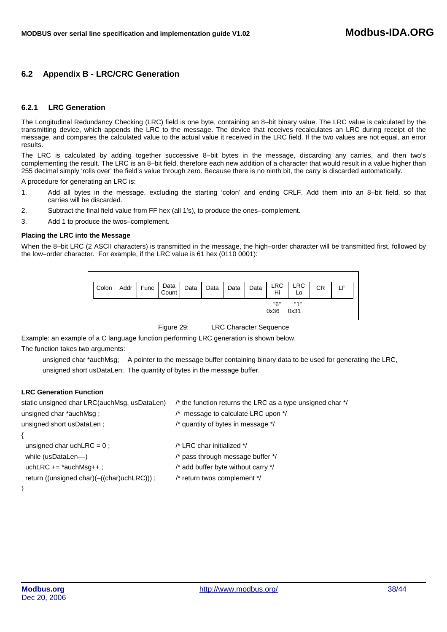# <span id="page-37-0"></span>**6.2 Appendix B - LRC/CRC Generation**

## **6.2.1 LRC Generation**

The Longitudinal Redundancy Checking (LRC) field is one byte, containing an 8–bit binary value. The LRC value is calculated by the transmitting device, which appends the LRC to the message. The device that receives recalculates an LRC during receipt of the message, and compares the calculated value to the actual value it received in the LRC field. If the two values are not equal, an error results.

The LRC is calculated by adding together successive 8–bit bytes in the message, discarding any carries, and then two's complementing the result. The LRC is an 8–bit field, therefore each new addition of a character that would result in a value higher than 255 decimal simply 'rolls over' the field's value through zero. Because there is no ninth bit, the carry is discarded automatically.

A procedure for generating an LRC is:

- 1. Add all bytes in the message, excluding the starting 'colon' and ending CRLF. Add them into an 8–bit field, so that carries will be discarded.
- 2. Subtract the final field value from FF hex (all 1's), to produce the ones–complement.
- 3. Add 1 to produce the twos–complement.

#### **Placing the LRC into the Message**

When the 8–bit LRC (2 ASCII characters) is transmitted in the message, the high–order character will be transmitted first, followed by the low–order character. For example, if the LRC value is 61 hex (0110 0001):



Figure 29: LRC Character Sequence

Example: an example of a C language function performing LRC generation is shown below.

The function takes two arguments:

unsigned char \*auchMsg; A pointer to the message buffer containing binary data to be used for generating the LRC, unsigned short usDataLen; The quantity of bytes in the message buffer.

## **LRC Generation Function**

| static unsigned char LRC(auchMsg, usDataLen) | /* the function returns the LRC as a type unsigned char */ |
|----------------------------------------------|------------------------------------------------------------|
| unsigned char *auchMsg ;                     | $\prime^*$ message to calculate LRC upon $\prime\prime$    |
| unsigned short usDataLen;                    | /* quantity of bytes in message */                         |
|                                              |                                                            |
| unsigned char uch LRC = $0$ :                | /* LRC char initialized */                                 |
| while (usDataLen---)                         | /* pass through message buffer */                          |
| uchLRC $+=$ *auchMsg++;                      | /* add buffer byte without carry */                        |
| return ((unsigned char)(-((char)uchLRC)));   | /* return twos complement */                               |
|                                              |                                                            |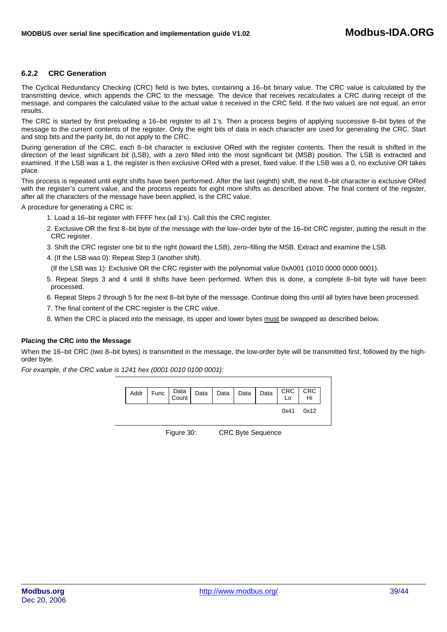# **6.2.2 CRC Generation**

The Cyclical Redundancy Checking (CRC) field is two bytes, containing a 16–bit binary value. The CRC value is calculated by the transmitting device, which appends the CRC to the message. The device that receives recalculates a CRC during receipt of the message, and compares the calculated value to the actual value it received in the CRC field. If the two values are not equal, an error results.

The CRC is started by first preloading a 16–bit register to all 1's. Then a process begins of applying successive 8–bit bytes of the message to the current contents of the register. Only the eight bits of data in each character are used for generating the CRC. Start and stop bits and the parity bit, do not apply to the CRC.

During generation of the CRC, each 8–bit character is exclusive ORed with the register contents. Then the result is shifted in the direction of the least significant bit (LSB), with a zero filled into the most significant bit (MSB) position. The LSB is extracted and examined. If the LSB was a 1, the register is then exclusive ORed with a preset, fixed value. If the LSB was a 0, no exclusive OR takes place.

This process is repeated until eight shifts have been performed. After the last (eighth) shift, the next 8–bit character is exclusive ORed with the register's current value, and the process repeats for eight more shifts as described above. The final content of the register, after all the characters of the message have been applied, is the CRC value.

A procedure for generating a CRC is:

- 1. Load a 16–bit register with FFFF hex (all 1's). Call this the CRC register.
- 2. Exclusive OR the first 8–bit byte of the message with the low–order byte of the 16–bit CRC register, putting the result in the CRC register.
- 3. Shift the CRC register one bit to the right (toward the LSB), zero–filling the MSB. Extract and examine the LSB.
- 4. (If the LSB was 0): Repeat Step 3 (another shift).
	- (If the LSB was 1): Exclusive OR the CRC register with the polynomial value 0xA001 (1010 0000 0000 0001).
- 5. Repeat Steps 3 and 4 until 8 shifts have been performed. When this is done, a complete 8–bit byte will have been processed.
- 6. Repeat Steps 2 through 5 for the next 8–bit byte of the message. Continue doing this until all bytes have been processed.
- 7. The final content of the CRC register is the CRC value.
- 8. When the CRC is placed into the message, its upper and lower bytes must be swapped as described below.

## **Placing the CRC into the Message**

When the 16–bit CRC (two 8–bit bytes) is transmitted in the message, the low-order byte will be transmitted first, followed by the highorder byte.

*For example, if the CRC value is 1241 hex (0001 0010 0100 0001):* 



Figure 30: CRC Byte Sequence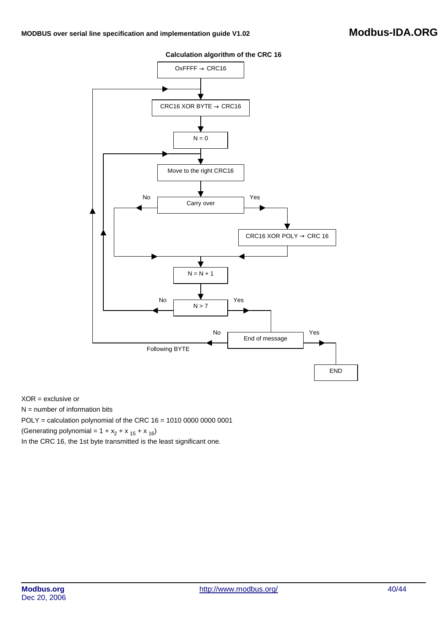## **Calculation algorithm of the CRC 16**



XOR = exclusive or

 $N =$  number of information bits

POLY = calculation polynomial of the CRC 16 = 1010 0000 0000 0001

(Generating polynomial =  $1 + x_2 + x_{15} + x_{16}$ )

In the CRC 16, the 1st byte transmitted is the least significant one.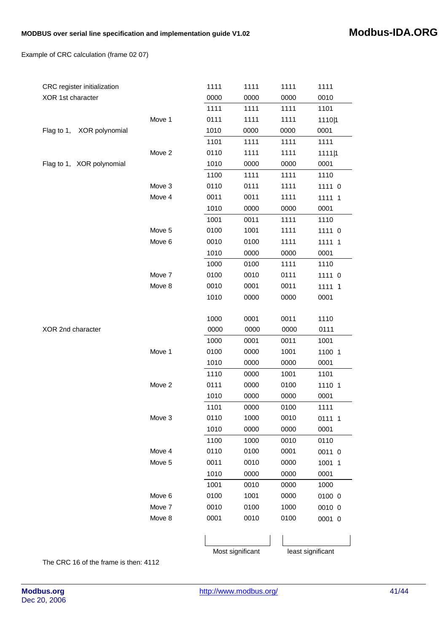Example of CRC calculation (frame 02 07)

| CRC register initialization  |        | 1111 | 1111             | 1111 | 1111              |  |  |
|------------------------------|--------|------|------------------|------|-------------------|--|--|
| XOR 1st character            |        | 0000 | 0000             | 0000 | 0010              |  |  |
|                              |        | 1111 | 1111             | 1111 | 1101              |  |  |
|                              | Move 1 | 0111 | 1111             | 1111 | 1110 1            |  |  |
| XOR polynomial<br>Flag to 1, |        | 1010 | 0000             | 0000 | 0001              |  |  |
|                              |        | 1101 | 1111             | 1111 | 1111              |  |  |
|                              | Move 2 | 0110 | 1111             | 1111 | 1111 1            |  |  |
| Flag to 1, XOR polynomial    |        | 1010 | 0000             | 0000 | 0001              |  |  |
|                              |        | 1100 | 1111             | 1111 | 1110              |  |  |
|                              | Move 3 | 0110 | 0111             | 1111 | 1111 0            |  |  |
|                              | Move 4 | 0011 | 0011             | 1111 | 1111 1            |  |  |
|                              |        | 1010 | 0000             | 0000 | 0001              |  |  |
|                              |        | 1001 | 0011             | 1111 | 1110              |  |  |
|                              | Move 5 | 0100 | 1001             | 1111 | 1111 0            |  |  |
|                              | Move 6 | 0010 | 0100             | 1111 | $1111$  1         |  |  |
|                              |        | 1010 | 0000             | 0000 | 0001              |  |  |
|                              |        | 1000 | 0100             | 1111 | 1110              |  |  |
|                              | Move 7 | 0100 | 0010             | 0111 | 1111 0            |  |  |
|                              | Move 8 | 0010 | 0001             | 0011 | $1111$  1         |  |  |
|                              |        | 1010 | 0000             | 0000 | 0001              |  |  |
|                              |        |      |                  |      |                   |  |  |
|                              |        | 1000 | 0001             | 0011 | 1110              |  |  |
| XOR 2nd character            |        | 0000 | 0000             | 0000 | 0111              |  |  |
|                              |        | 1000 | 0001             | 0011 | 1001              |  |  |
|                              | Move 1 | 0100 | 0000             | 1001 | $1100$   1        |  |  |
|                              |        | 1010 | 0000             | 0000 | 0001              |  |  |
|                              |        | 1110 | 0000             | 1001 | 1101              |  |  |
|                              | Move 2 | 0111 | 0000             | 0100 | 1110 1            |  |  |
|                              |        | 1010 | 0000             | 0000 | 0001              |  |  |
|                              |        | 1101 | 0000             | 0100 | 1111              |  |  |
|                              | Move 3 | 0110 | 1000             | 0010 | 0111 1            |  |  |
|                              |        | 1010 | 0000             | 0000 | 0001              |  |  |
|                              |        | 1100 | 1000             | 0010 | 0110              |  |  |
|                              | Move 4 | 0110 | 0100             | 0001 | 0011 0            |  |  |
|                              | Move 5 | 0011 | 0010             | 0000 | $1001$  1         |  |  |
|                              |        | 1010 | 0000             | 0000 | 0001              |  |  |
|                              |        | 1001 | 0010             | 0000 | 1000              |  |  |
|                              | Move 6 | 0100 | 1001             | 0000 | 0100 0            |  |  |
|                              | Move 7 | 0010 | 0100             | 1000 | 0010 0            |  |  |
|                              | Move 8 | 0001 | 0010             | 0100 | 0001 0            |  |  |
|                              |        |      |                  |      |                   |  |  |
|                              |        |      | Most significant |      | least significant |  |  |

The CRC 16 of the frame is then: 4112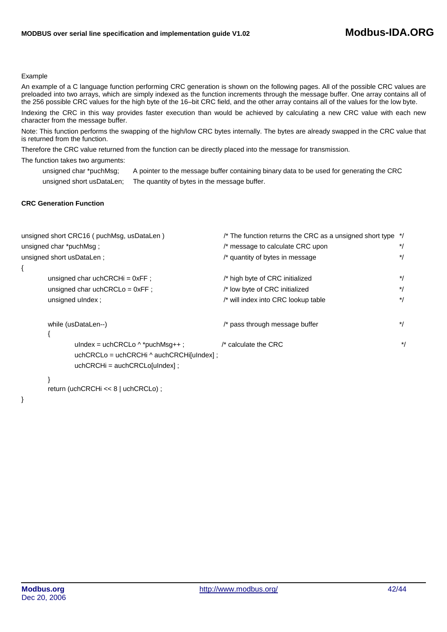#### Example

An example of a C language function performing CRC generation is shown on the following pages. All of the possible CRC values are preloaded into two arrays, which are simply indexed as the function increments through the message buffer. One array contains all of the 256 possible CRC values for the high byte of the 16–bit CRC field, and the other array contains all of the values for the low byte.

Indexing the CRC in this way provides faster execution than would be achieved by calculating a new CRC value with each new character from the message buffer.

Note: This function performs the swapping of the high/low CRC bytes internally. The bytes are already swapped in the CRC value that is returned from the function.

Therefore the CRC value returned from the function can be directly placed into the message for transmission.

The function takes two arguments:

unsigned char \*puchMsg; A pointer to the message buffer containing binary data to be used for generating the CRC unsigned short usDataLen; The quantity of bytes in the message buffer.

# **CRC Generation Function**

|                                          | unsigned short CRC16 (puchMsg, usDataLen) | /* The function returns the CRC as a unsigned short type */<br>/* message to calculate CRC upon |       |  |  |  |  |
|------------------------------------------|-------------------------------------------|-------------------------------------------------------------------------------------------------|-------|--|--|--|--|
|                                          | unsigned char *puchMsg;                   |                                                                                                 |       |  |  |  |  |
|                                          | unsigned short usDataLen ;                | /* quantity of bytes in message                                                                 | $^*/$ |  |  |  |  |
|                                          |                                           |                                                                                                 |       |  |  |  |  |
|                                          | unsigned char uchCRCH $i = 0xFF$ ;        | /* high byte of CRC initialized                                                                 | $^*/$ |  |  |  |  |
|                                          | unsigned char uchCRCLo = $0xFF$ :         | /* low byte of CRC initialized                                                                  |       |  |  |  |  |
|                                          | unsigned ulndex ;                         | /* will index into CRC lookup table                                                             |       |  |  |  |  |
|                                          | while (usDataLen--)                       | /* pass through message buffer                                                                  | $^*/$ |  |  |  |  |
|                                          |                                           |                                                                                                 |       |  |  |  |  |
|                                          | ulndex = uchCRCLo $\wedge$ *puchMsq++ :   | $\prime^*$ calculate the CRC                                                                    | $^*/$ |  |  |  |  |
| uchCRCLo = uchCRCHi ^ auchCRCHi[uIndex]; |                                           |                                                                                                 |       |  |  |  |  |
|                                          | $uchCRCHi = auchCRCLofulndex]:$           |                                                                                                 |       |  |  |  |  |
|                                          |                                           |                                                                                                 |       |  |  |  |  |

```
} 
return (uchCRCHi << 8 | uchCRCLo) ;
```
}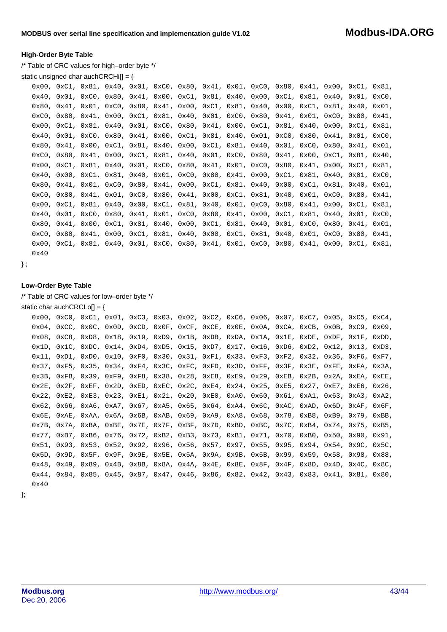#### **High-Order Byte Table**

/\* Table of CRC values for high–order byte \*/

```
static unsigned char auch CRCHi[] = \{
```

|      |  |  |  |  | $0x00$ , $0xC1$ , $0x81$ , $0x40$ , $0x01$ , $0xC0$ , $0x80$ , $0x41$ , $0x01$ , $0xC0$ , $0x80$ , $0x41$ , $0x00$ , $0xC1$ , $0x81$ , |  |  |  |
|------|--|--|--|--|----------------------------------------------------------------------------------------------------------------------------------------|--|--|--|
|      |  |  |  |  | $0x40$ , $0x01$ , $0x00$ , $0x80$ , $0x41$ , $0x00$ , $0xC1$ , $0x81$ , $0x40$ , $0x01$ , $0xC1$ , $0x81$ , $0x40$ , $0xC0$ ,          |  |  |  |
|      |  |  |  |  | $0x80$ , $0x41$ , $0x01$ , $0xC0$ , $0x80$ , $0x41$ , $0x00$ , $0xC1$ , $0x81$ , $0x40$ , $0x00$ , $0xC1$ , $0x81$ , $0x40$ , $0x01$ , |  |  |  |
|      |  |  |  |  | $0xC0$ , $0x80$ , $0x41$ , $0x00$ , $0xC1$ , $0x81$ , $0x40$ , $0x01$ , $0xC0$ , $0x80$ , $0x41$ , $0x01$ , $0xC0$ , $0x80$ , $0x41$ , |  |  |  |
|      |  |  |  |  | $0x00$ , $0xC1$ , $0x81$ , $0x40$ , $0x01$ , $0xC0$ , $0x80$ , $0x41$ , $0x00$ , $0xC1$ , $0x81$ , $0x40$ , $0x00$ , $0xC1$ , $0x81$ , |  |  |  |
|      |  |  |  |  | $0x40$ , $0x01$ , $0xC0$ , $0x80$ , $0x41$ , $0x00$ , $0xC1$ , $0x81$ , $0x40$ , $0x01$ , $0xC0$ , $0x80$ , $0x41$ , $0x01$ , $0xC0$ , |  |  |  |
|      |  |  |  |  | $0x80$ , $0x41$ , $0x00$ , $0xC1$ , $0x81$ , $0x40$ , $0x00$ , $0xC1$ , $0x81$ , $0x40$ , $0x01$ , $0xC0$ , $0x80$ , $0x41$ , $0x01$ , |  |  |  |
|      |  |  |  |  | $0xC0$ , $0x80$ , $0x41$ , $0x00$ , $0xC1$ , $0x81$ , $0x40$ , $0x01$ , $0xC0$ , $0x80$ , $0x41$ , $0x00$ , $0xC1$ , $0x81$ , $0x40$ , |  |  |  |
|      |  |  |  |  | $0x00$ , $0xC1$ , $0x81$ , $0x40$ , $0x01$ , $0xC0$ , $0x80$ , $0x41$ , $0x01$ , $0xC0$ , $0x80$ , $0x41$ , $0x00$ , $0xC1$ , $0x81$ , |  |  |  |
|      |  |  |  |  | $0x40$ , $0x00$ , $0xC1$ , $0x81$ , $0x40$ , $0x01$ , $0xC0$ , $0x80$ , $0x41$ , $0x00$ , $0xC1$ , $0x81$ , $0x40$ , $0x01$ , $0xC0$ , |  |  |  |
|      |  |  |  |  | $0x80$ , $0x41$ , $0x01$ , $0xC0$ , $0x80$ , $0x41$ , $0x00$ , $0xC1$ , $0x81$ , $0x40$ , $0x01$ , $0xC1$ , $0x81$ , $0x40$ , $0x01$ , |  |  |  |
|      |  |  |  |  | $0xC0$ , $0x80$ , $0x41$ , $0x01$ , $0xC0$ , $0x80$ , $0x41$ , $0x00$ , $0xC1$ , $0x81$ , $0x40$ , $0x01$ , $0xC0$ , $0x80$ , $0x41$ , |  |  |  |
|      |  |  |  |  | $0x00$ , $0xC1$ , $0x81$ , $0x40$ , $0x00$ , $0xC1$ , $0x81$ , $0x40$ , $0x01$ , $0xC0$ , $0x80$ , $0x41$ , $0x00$ , $0xC1$ , $0x81$ , |  |  |  |
|      |  |  |  |  | $0x40$ , $0x01$ , $0x00$ , $0x80$ , $0x41$ , $0x01$ , $0x00$ , $0x80$ , $0x41$ , $0x00$ , $0xC1$ , $0x81$ , $0x40$ , $0x01$ , $0xC0$ , |  |  |  |
|      |  |  |  |  | $0x80$ , $0x41$ , $0x00$ , $0xC1$ , $0x81$ , $0x40$ , $0x00$ , $0xC1$ , $0x81$ , $0x40$ , $0x01$ , $0xC0$ , $0x80$ , $0x41$ , $0x01$ , |  |  |  |
|      |  |  |  |  | $0xC0$ , $0x80$ , $0x41$ , $0x00$ , $0xC1$ , $0x81$ , $0x40$ , $0x00$ , $0xC1$ , $0x81$ , $0x40$ , $0x01$ , $0xC0$ , $0x80$ , $0x41$ , |  |  |  |
|      |  |  |  |  | $0x00$ , $0xC1$ , $0x81$ , $0x40$ , $0x01$ , $0xC0$ , $0x80$ , $0x41$ , $0x01$ , $0xC0$ , $0x80$ , $0x41$ , $0x00$ , $0xC1$ , $0x81$ , |  |  |  |
| 0x40 |  |  |  |  |                                                                                                                                        |  |  |  |

} ;

#### **Low-Order Byte Table**

/\* Table of CRC values for low–order byte \*/

```
static char auchCRCLo[] = {
```

```
0x00, 0xC0, 0xC1, 0x01, 0xC3, 0x03, 0x02, 0xC2, 0xC6, 0x06, 0x07, 0xC7, 0x05, 0xC5, 0xC4,
0x04, 0xCC, 0x0C, 0x0D, 0xCD, 0x0F, 0xCF, 0xCE, 0x0E, 0x0A, 0xCA, 0xCB, 0x0B, 0xC9, 0x09,
0x08, 0xC8, 0xD8, 0x18, 0x19, 0xD9, 0x1B, 0xDB, 0xDA, 0x1A, 0x1E, 0xDE, 0xDF, 0x1F, 0xDD,
0x1D, 0x1C, 0xDC, 0x14, 0xD4, 0xD5, 0x15, 0xD7, 0x17, 0x16, 0xD6, 0xD2, 0x12, 0x13, 0xD3,
0x11, 0xD1, 0xD0, 0x10, 0xF0, 0x30, 0x31, 0xF1, 0x33, 0xF3, 0xF2, 0x32, 0x36, 0xF6, 0xF7,
0x37, 0xF5, 0x35, 0x34, 0xF4, 0x3C, 0xFC, 0xFD, 0x3D, 0xFF, 0x3F, 0x3E, 0xFE, 0xFA, 0x3A,
0x3B, 0xFB, 0x39, 0xF9, 0xF8, 0x38, 0x28, 0xE8, 0xE9, 0x29, 0xEB, 0x2B, 0x2A, 0xEA, 0xEE,
0x2E, 0x2F, 0xEF, 0x2D, 0xED, 0xEC, 0x2C, 0xE4, 0x24, 0x25, 0xE5, 0x27, 0xE7, 0xE6, 0x26,
0x22, 0xE2, 0xE3, 0x23, 0xE1, 0x21, 0x20, 0xE0, 0xA0, 0x60, 0x61, 0xA1, 0x63, 0xA3, 0xA2,
0x62, 0x66, 0xA6, 0xA7, 0x67, 0xA5, 0x65, 0x64, 0xA4, 0x6C, 0xAC, 0xAD, 0x6D, 0xAF, 0x6F,
0x6E, 0xAE, 0xAA, 0x6A, 0x6B, 0xAB, 0x69, 0xA9, 0xA8, 0x68, 0x78, 0xB8, 0xB9, 0x79, 0xBB,
0x7B, 0x7A, 0xBA, 0xBE, 0x7E, 0x7F, 0xBF, 0x7D, 0xBD, 0xBC, 0x7C, 0xB4, 0x74, 0x75, 0xB5,
0x77, 0xB7, 0xB6, 0x76, 0x72, 0xB2, 0xB3, 0x73, 0xB1, 0x71, 0x70, 0xB0, 0x50, 0x90, 0x91,
0x51, 0x93, 0x53, 0x52, 0x92, 0x96, 0x56, 0x57, 0x97, 0x55, 0x95, 0x94, 0x54, 0x9C, 0x5C,
0x5D, 0x9D, 0x5F, 0x9F, 0x9E, 0x5E, 0x5A, 0x9A, 0x9B, 0x5B, 0x99, 0x59, 0x58, 0x98, 0x88,
0x48, 0x49, 0x89, 0x4B, 0x8B, 0x8A, 0x4A, 0x4E, 0x8E, 0x8F, 0x4F, 0x8D, 0x4D, 0x4C, 0x8C,
0x44, 0x84, 0x85, 0x45, 0x87, 0x47, 0x46, 0x86, 0x82, 0x42, 0x43, 0x83, 0x41, 0x81, 0x80,
0x40
```
};